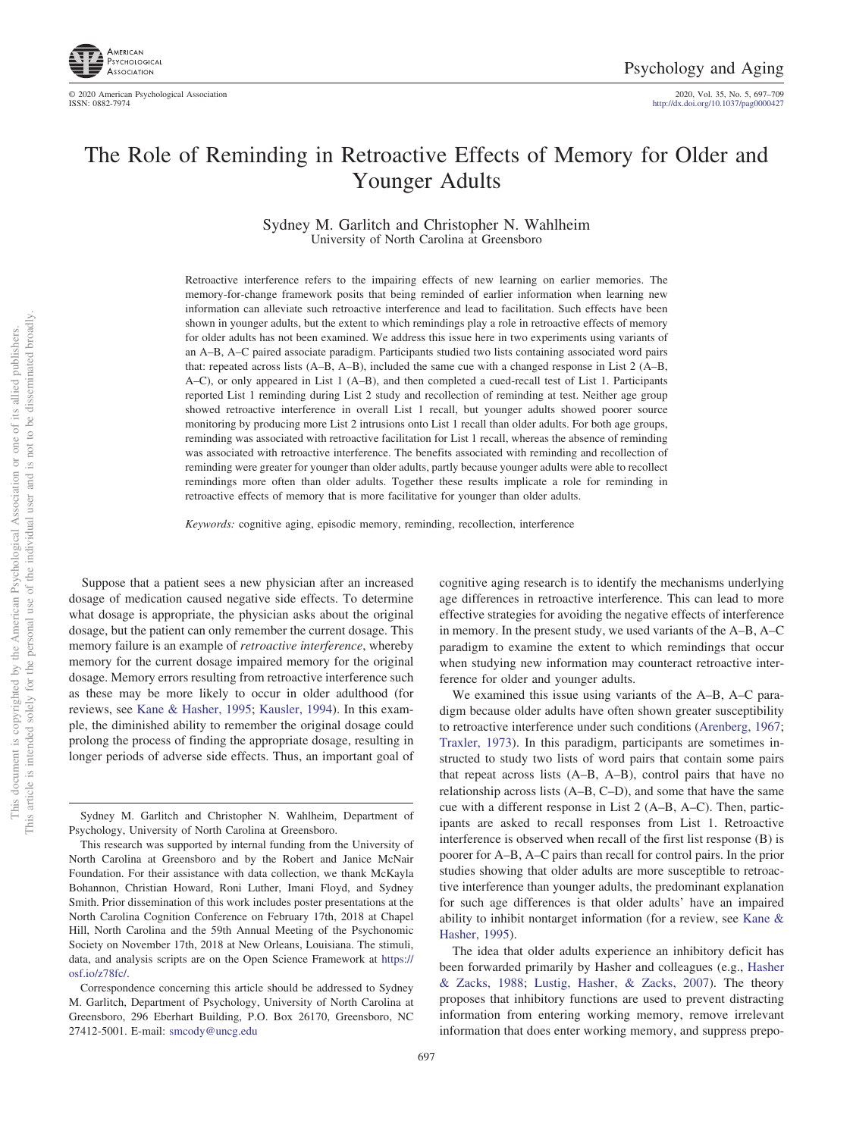

© 2020 American Psychological Association 2020, Vol. 35, No. 5, 697–709 http://dx.doi.org[/10.1037/pag0000427](http://dx.doi.org/10.1037/pag0000427)

# The Role of Reminding in Retroactive Effects of Memory for Older and Younger Adults

Sydney M. Garlitch and Christopher N. Wahlheim University of North Carolina at Greensboro

Retroactive interference refers to the impairing effects of new learning on earlier memories. The memory-for-change framework posits that being reminded of earlier information when learning new information can alleviate such retroactive interference and lead to facilitation. Such effects have been shown in younger adults, but the extent to which remindings play a role in retroactive effects of memory for older adults has not been examined. We address this issue here in two experiments using variants of an A–B, A–C paired associate paradigm. Participants studied two lists containing associated word pairs that: repeated across lists (A–B, A–B), included the same cue with a changed response in List 2 (A–B, A–C), or only appeared in List 1 (A–B), and then completed a cued-recall test of List 1. Participants reported List 1 reminding during List 2 study and recollection of reminding at test. Neither age group showed retroactive interference in overall List 1 recall, but younger adults showed poorer source monitoring by producing more List 2 intrusions onto List 1 recall than older adults. For both age groups, reminding was associated with retroactive facilitation for List 1 recall, whereas the absence of reminding was associated with retroactive interference. The benefits associated with reminding and recollection of reminding were greater for younger than older adults, partly because younger adults were able to recollect remindings more often than older adults. Together these results implicate a role for reminding in retroactive effects of memory that is more facilitative for younger than older adults.

*Keywords:* cognitive aging, episodic memory, reminding, recollection, interference

Suppose that a patient sees a new physician after an increased dosage of medication caused negative side effects. To determine what dosage is appropriate, the physician asks about the original dosage, but the patient can only remember the current dosage. This memory failure is an example of *retroactive interference*, whereby memory for the current dosage impaired memory for the original dosage. Memory errors resulting from retroactive interference such as these may be more likely to occur in older adulthood (for reviews, see [Kane & Hasher, 1995;](#page-11-0) [Kausler, 1994\)](#page-11-1). In this example, the diminished ability to remember the original dosage could prolong the process of finding the appropriate dosage, resulting in longer periods of adverse side effects. Thus, an important goal of cognitive aging research is to identify the mechanisms underlying age differences in retroactive interference. This can lead to more effective strategies for avoiding the negative effects of interference in memory. In the present study, we used variants of the A–B, A–C paradigm to examine the extent to which remindings that occur when studying new information may counteract retroactive interference for older and younger adults.

We examined this issue using variants of the A–B, A–C paradigm because older adults have often shown greater susceptibility to retroactive interference under such conditions [\(Arenberg, 1967;](#page-10-0) [Traxler, 1973\)](#page-11-2). In this paradigm, participants are sometimes instructed to study two lists of word pairs that contain some pairs that repeat across lists (A–B, A–B), control pairs that have no relationship across lists (A–B, C–D), and some that have the same cue with a different response in List 2 (A–B, A–C). Then, participants are asked to recall responses from List 1. Retroactive interference is observed when recall of the first list response (B) is poorer for A–B, A–C pairs than recall for control pairs. In the prior studies showing that older adults are more susceptible to retroactive interference than younger adults, the predominant explanation for such age differences is that older adults' have an impaired ability to inhibit nontarget information (for a review, see [Kane &](#page-11-0) [Hasher, 1995\)](#page-11-0).

The idea that older adults experience an inhibitory deficit has been forwarded primarily by Hasher and colleagues (e.g., [Hasher](#page-11-3) [& Zacks, 1988;](#page-11-3) [Lustig, Hasher, & Zacks, 2007\)](#page-11-4). The theory proposes that inhibitory functions are used to prevent distracting information from entering working memory, remove irrelevant information that does enter working memory, and suppress prepo-

Sydney M. Garlitch and Christopher N. Wahlheim, Department of Psychology, University of North Carolina at Greensboro.

This research was supported by internal funding from the University of North Carolina at Greensboro and by the Robert and Janice McNair Foundation. For their assistance with data collection, we thank McKayla Bohannon, Christian Howard, Roni Luther, Imani Floyd, and Sydney Smith. Prior dissemination of this work includes poster presentations at the North Carolina Cognition Conference on February 17th, 2018 at Chapel Hill, North Carolina and the 59th Annual Meeting of the Psychonomic Society on November 17th, 2018 at New Orleans, Louisiana. The stimuli, data, and analysis scripts are on the Open Science Framework at [https://](https://osf.io/z78fc/) [osf.io/z78fc/.](https://osf.io/z78fc/)

Correspondence concerning this article should be addressed to Sydney M. Garlitch, Department of Psychology, University of North Carolina at Greensboro, 296 Eberhart Building, P.O. Box 26170, Greensboro, NC 27412-5001. E-mail: [smcody@uncg.edu](mailto:smcody@uncg.edu)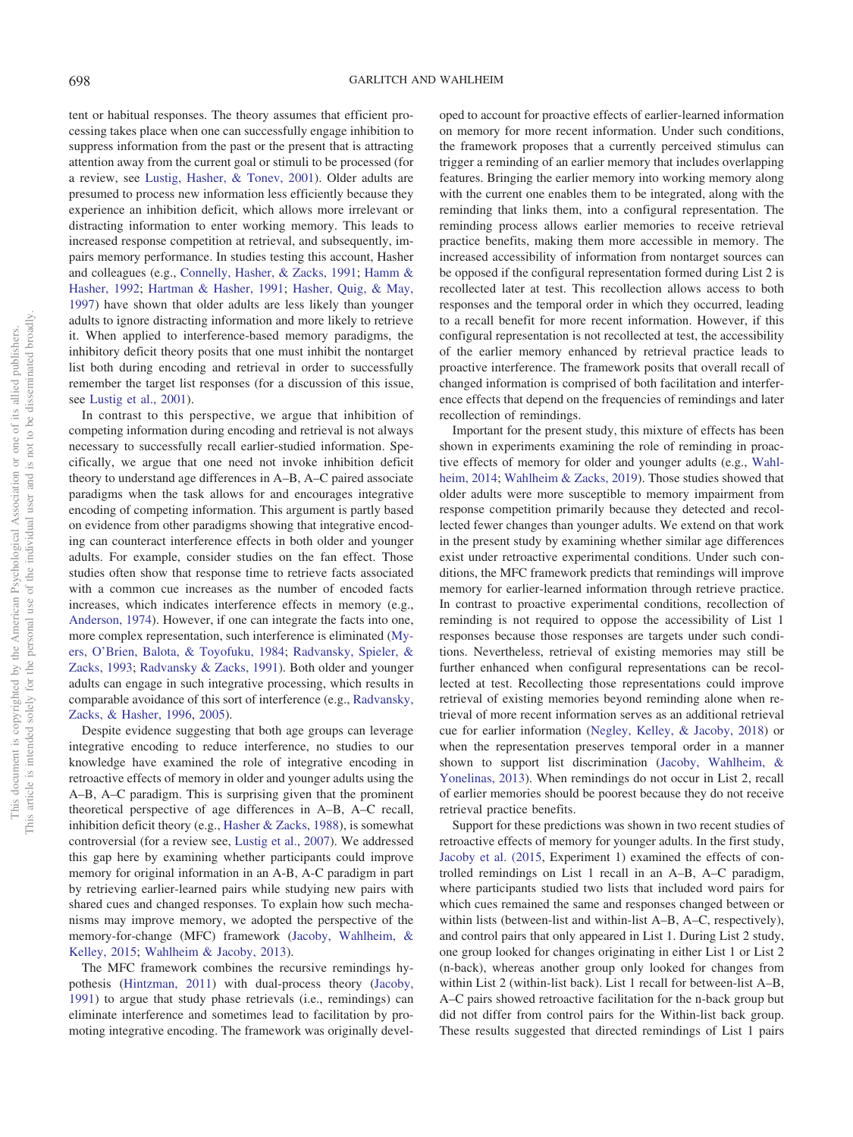tent or habitual responses. The theory assumes that efficient processing takes place when one can successfully engage inhibition to suppress information from the past or the present that is attracting attention away from the current goal or stimuli to be processed (for a review, see [Lustig, Hasher, & Tonev, 2001\)](#page-11-5). Older adults are presumed to process new information less efficiently because they experience an inhibition deficit, which allows more irrelevant or distracting information to enter working memory. This leads to increased response competition at retrieval, and subsequently, impairs memory performance. In studies testing this account, Hasher and colleagues (e.g., [Connelly, Hasher, & Zacks, 1991;](#page-11-6) [Hamm &](#page-11-7) [Hasher, 1992;](#page-11-7) [Hartman & Hasher, 1991;](#page-11-8) [Hasher, Quig, & May,](#page-11-9) [1997\)](#page-11-9) have shown that older adults are less likely than younger adults to ignore distracting information and more likely to retrieve it. When applied to interference-based memory paradigms, the inhibitory deficit theory posits that one must inhibit the nontarget list both during encoding and retrieval in order to successfully remember the target list responses (for a discussion of this issue, see [Lustig et al., 2001\)](#page-11-5).

In contrast to this perspective, we argue that inhibition of competing information during encoding and retrieval is not always necessary to successfully recall earlier-studied information. Specifically, we argue that one need not invoke inhibition deficit theory to understand age differences in A–B, A–C paired associate paradigms when the task allows for and encourages integrative encoding of competing information. This argument is partly based on evidence from other paradigms showing that integrative encoding can counteract interference effects in both older and younger adults. For example, consider studies on the fan effect. Those studies often show that response time to retrieve facts associated with a common cue increases as the number of encoded facts increases, which indicates interference effects in memory (e.g., [Anderson, 1974\)](#page-10-1). However, if one can integrate the facts into one, more complex representation, such interference is eliminated [\(My](#page-11-10)[ers, O'Brien, Balota, & Toyofuku, 1984;](#page-11-10) [Radvansky, Spieler, &](#page-11-11) [Zacks, 1993;](#page-11-11) [Radvansky & Zacks, 1991\)](#page-11-12). Both older and younger adults can engage in such integrative processing, which results in comparable avoidance of this sort of interference (e.g., [Radvansky,](#page-11-13) [Zacks, & Hasher, 1996,](#page-11-13) [2005\)](#page-11-14).

Despite evidence suggesting that both age groups can leverage integrative encoding to reduce interference, no studies to our knowledge have examined the role of integrative encoding in retroactive effects of memory in older and younger adults using the A–B, A–C paradigm. This is surprising given that the prominent theoretical perspective of age differences in A–B, A–C recall, inhibition deficit theory (e.g., [Hasher & Zacks, 1988\)](#page-11-3), is somewhat controversial (for a review see, [Lustig et al., 2007\)](#page-11-4). We addressed this gap here by examining whether participants could improve memory for original information in an A-B, A-C paradigm in part by retrieving earlier-learned pairs while studying new pairs with shared cues and changed responses. To explain how such mechanisms may improve memory, we adopted the perspective of the memory-for-change (MFC) framework [\(Jacoby, Wahlheim, &](#page-11-15) [Kelley, 2015;](#page-11-15) [Wahlheim & Jacoby, 2013\)](#page-12-0).

The MFC framework combines the recursive remindings hypothesis [\(Hintzman, 2011\)](#page-11-16) with dual-process theory [\(Jacoby,](#page-11-17) [1991\)](#page-11-17) to argue that study phase retrievals (i.e., remindings) can eliminate interference and sometimes lead to facilitation by promoting integrative encoding. The framework was originally developed to account for proactive effects of earlier-learned information on memory for more recent information. Under such conditions, the framework proposes that a currently perceived stimulus can trigger a reminding of an earlier memory that includes overlapping features. Bringing the earlier memory into working memory along with the current one enables them to be integrated, along with the reminding that links them, into a configural representation. The reminding process allows earlier memories to receive retrieval practice benefits, making them more accessible in memory. The increased accessibility of information from nontarget sources can be opposed if the configural representation formed during List 2 is recollected later at test. This recollection allows access to both responses and the temporal order in which they occurred, leading to a recall benefit for more recent information. However, if this configural representation is not recollected at test, the accessibility of the earlier memory enhanced by retrieval practice leads to proactive interference. The framework posits that overall recall of changed information is comprised of both facilitation and interference effects that depend on the frequencies of remindings and later recollection of remindings.

Important for the present study, this mixture of effects has been shown in experiments examining the role of reminding in proactive effects of memory for older and younger adults (e.g., [Wahl](#page-12-1)[heim, 2014;](#page-12-1) [Wahlheim & Zacks, 2019\)](#page-12-2). Those studies showed that older adults were more susceptible to memory impairment from response competition primarily because they detected and recollected fewer changes than younger adults. We extend on that work in the present study by examining whether similar age differences exist under retroactive experimental conditions. Under such conditions, the MFC framework predicts that remindings will improve memory for earlier-learned information through retrieve practice. In contrast to proactive experimental conditions, recollection of reminding is not required to oppose the accessibility of List 1 responses because those responses are targets under such conditions. Nevertheless, retrieval of existing memories may still be further enhanced when configural representations can be recollected at test. Recollecting those representations could improve retrieval of existing memories beyond reminding alone when retrieval of more recent information serves as an additional retrieval cue for earlier information [\(Negley, Kelley, & Jacoby, 2018\)](#page-11-18) or when the representation preserves temporal order in a manner shown to support list discrimination [\(Jacoby, Wahlheim, &](#page-11-19) [Yonelinas, 2013\)](#page-11-19). When remindings do not occur in List 2, recall of earlier memories should be poorest because they do not receive retrieval practice benefits.

Support for these predictions was shown in two recent studies of retroactive effects of memory for younger adults. In the first study, [Jacoby et al. \(2015,](#page-11-15) Experiment 1) examined the effects of controlled remindings on List 1 recall in an A–B, A–C paradigm, where participants studied two lists that included word pairs for which cues remained the same and responses changed between or within lists (between-list and within-list A–B, A–C, respectively), and control pairs that only appeared in List 1. During List 2 study, one group looked for changes originating in either List 1 or List 2 (n-back), whereas another group only looked for changes from within List 2 (within-list back). List 1 recall for between-list A–B, A–C pairs showed retroactive facilitation for the n-back group but did not differ from control pairs for the Within-list back group. These results suggested that directed remindings of List 1 pairs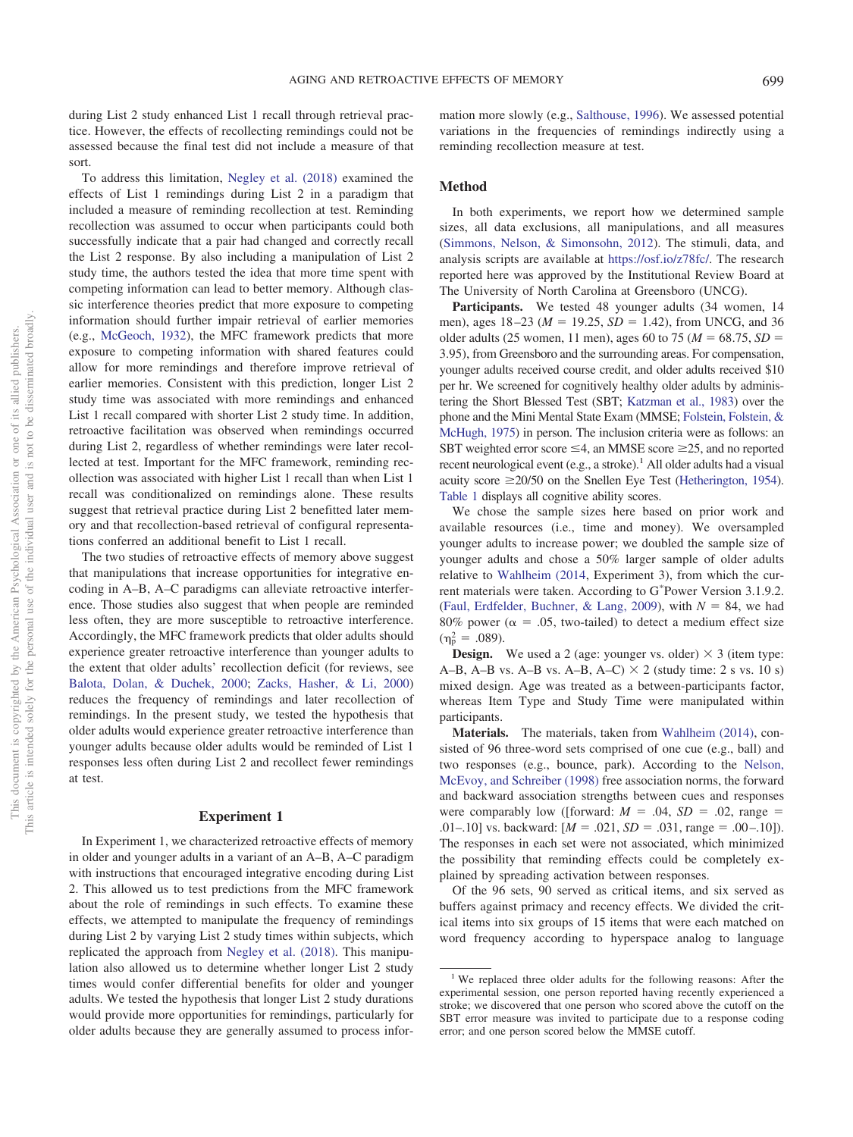during List 2 study enhanced List 1 recall through retrieval practice. However, the effects of recollecting remindings could not be assessed because the final test did not include a measure of that sort.

To address this limitation, [Negley et al. \(2018\)](#page-11-18) examined the effects of List 1 remindings during List 2 in a paradigm that included a measure of reminding recollection at test. Reminding recollection was assumed to occur when participants could both successfully indicate that a pair had changed and correctly recall the List 2 response. By also including a manipulation of List 2 study time, the authors tested the idea that more time spent with competing information can lead to better memory. Although classic interference theories predict that more exposure to competing information should further impair retrieval of earlier memories (e.g., [McGeoch, 1932\)](#page-11-20), the MFC framework predicts that more exposure to competing information with shared features could allow for more remindings and therefore improve retrieval of earlier memories. Consistent with this prediction, longer List 2 study time was associated with more remindings and enhanced List 1 recall compared with shorter List 2 study time. In addition, retroactive facilitation was observed when remindings occurred during List 2, regardless of whether remindings were later recollected at test. Important for the MFC framework, reminding recollection was associated with higher List 1 recall than when List 1 recall was conditionalized on remindings alone. These results suggest that retrieval practice during List 2 benefitted later memory and that recollection-based retrieval of configural representations conferred an additional benefit to List 1 recall.

The two studies of retroactive effects of memory above suggest that manipulations that increase opportunities for integrative encoding in A–B, A–C paradigms can alleviate retroactive interference. Those studies also suggest that when people are reminded less often, they are more susceptible to retroactive interference. Accordingly, the MFC framework predicts that older adults should experience greater retroactive interference than younger adults to the extent that older adults' recollection deficit (for reviews, see [Balota, Dolan, & Duchek, 2000;](#page-10-2) [Zacks, Hasher, & Li, 2000\)](#page-12-3) reduces the frequency of remindings and later recollection of remindings. In the present study, we tested the hypothesis that older adults would experience greater retroactive interference than younger adults because older adults would be reminded of List 1 responses less often during List 2 and recollect fewer remindings at test.

#### **Experiment 1**

In Experiment 1, we characterized retroactive effects of memory in older and younger adults in a variant of an A–B, A–C paradigm with instructions that encouraged integrative encoding during List 2. This allowed us to test predictions from the MFC framework about the role of remindings in such effects. To examine these effects, we attempted to manipulate the frequency of remindings during List 2 by varying List 2 study times within subjects, which replicated the approach from [Negley et al. \(2018\).](#page-11-18) This manipulation also allowed us to determine whether longer List 2 study times would confer differential benefits for older and younger adults. We tested the hypothesis that longer List 2 study durations would provide more opportunities for remindings, particularly for older adults because they are generally assumed to process information more slowly (e.g., [Salthouse, 1996\)](#page-11-21). We assessed potential variations in the frequencies of remindings indirectly using a reminding recollection measure at test.

## **Method**

In both experiments, we report how we determined sample sizes, all data exclusions, all manipulations, and all measures [\(Simmons, Nelson, & Simonsohn, 2012\)](#page-11-22). The stimuli, data, and analysis scripts are available at [https://osf.io/z78fc/.](https://osf.io/z78fc/) The research reported here was approved by the Institutional Review Board at The University of North Carolina at Greensboro (UNCG).

Participants. We tested 48 younger adults (34 women, 14 men), ages  $18-23$  ( $M = 19.25$ ,  $SD = 1.42$ ), from UNCG, and 36 older adults (25 women, 11 men), ages 60 to 75 ( $M = 68.75$ ,  $SD =$ 3.95), from Greensboro and the surrounding areas. For compensation, younger adults received course credit, and older adults received \$10 per hr. We screened for cognitively healthy older adults by administering the Short Blessed Test (SBT; [Katzman et al., 1983\)](#page-11-23) over the phone and the Mini Mental State Exam (MMSE; [Folstein, Folstein, &](#page-11-24) [McHugh, 1975\)](#page-11-24) in person. The inclusion criteria were as follows: an SBT weighted error score  $\leq$ 4, an MMSE score  $\geq$ 25, and no reported recent neurological event  $(e.g., a stroke).$ <sup>1</sup> All older adults had a visual acuity score  $\geq 20/50$  on the Snellen Eye Test [\(Hetherington, 1954\)](#page-11-25). [Table 1](#page-3-0) displays all cognitive ability scores.

We chose the sample sizes here based on prior work and available resources (i.e., time and money). We oversampled younger adults to increase power; we doubled the sample size of younger adults and chose a 50% larger sample of older adults relative to [Wahlheim \(2014,](#page-12-1) Experiment 3), from which the current materials were taken. According to G\*Power Version 3.1.9.2. [\(Faul, Erdfelder, Buchner, & Lang, 2009\)](#page-11-26), with  $N = 84$ , we had 80% power ( $\alpha = .05$ , two-tailed) to detect a medium effect size  $(\eta_{\rm p}^2 = .089)$ .

**Design.** We used a 2 (age: younger vs. older)  $\times$  3 (item type: A–B, A–B vs. A–B vs. A–B, A–C)  $\times$  2 (study time: 2 s vs. 10 s) mixed design. Age was treated as a between-participants factor, whereas Item Type and Study Time were manipulated within participants.

**Materials.** The materials, taken from [Wahlheim \(2014\),](#page-12-1) consisted of 96 three-word sets comprised of one cue (e.g., ball) and two responses (e.g., bounce, park). According to the [Nelson,](#page-11-27) [McEvoy, and Schreiber \(1998\)](#page-11-27) free association norms, the forward and backward association strengths between cues and responses were comparably low ([forward:  $M = .04$ ,  $SD = .02$ , range = .01–.10] vs. backward:  $[M = .021, SD = .031, range = .00 - .10]$ . The responses in each set were not associated, which minimized the possibility that reminding effects could be completely explained by spreading activation between responses.

Of the 96 sets, 90 served as critical items, and six served as buffers against primacy and recency effects. We divided the critical items into six groups of 15 items that were each matched on word frequency according to hyperspace analog to language

<sup>&</sup>lt;sup>1</sup> We replaced three older adults for the following reasons: After the experimental session, one person reported having recently experienced a stroke; we discovered that one person who scored above the cutoff on the SBT error measure was invited to participate due to a response coding error; and one person scored below the MMSE cutoff.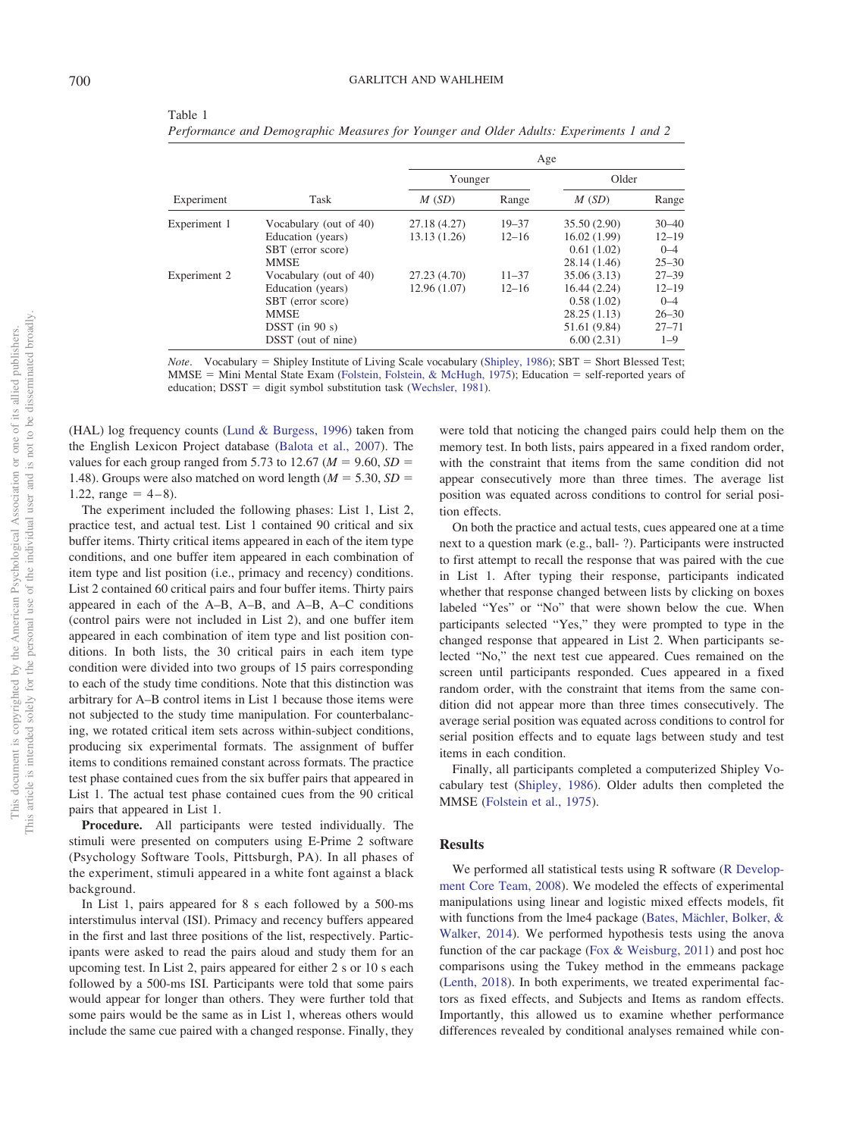<span id="page-3-0"></span>Table 1

|              |                        | Age          |           |              |           |
|--------------|------------------------|--------------|-----------|--------------|-----------|
|              |                        | Younger      |           | Older        |           |
| Experiment   | Task                   | M(SD)        | Range     | M(SD)        | Range     |
| Experiment 1 | Vocabulary (out of 40) | 27.18 (4.27) | $19 - 37$ | 35.50 (2.90) | $30 - 40$ |
|              | Education (years)      | 13.13 (1.26) | $12 - 16$ | 16.02(1.99)  | $12 - 19$ |
|              | SBT (error score)      |              |           | 0.61(1.02)   | $0 - 4$   |
|              | <b>MMSE</b>            |              |           | 28.14 (1.46) | $25 - 30$ |
| Experiment 2 | Vocabulary (out of 40) | 27.23 (4.70) | $11 - 37$ | 35.06 (3.13) | $27 - 39$ |
|              | Education (years)      | 12.96 (1.07) | $12 - 16$ | 16.44(2.24)  | $12 - 19$ |
|              | SBT (error score)      |              |           | 0.58(1.02)   | $0 - 4$   |
|              | <b>MMSE</b>            |              |           | 28.25(1.13)  | $26 - 30$ |
|              | $D SST$ (in 90 s)      |              |           | 51.61 (9.84) | $27 - 71$ |
|              | DSST (out of nine)     |              |           | 6.00(2.31)   | $1 - 9$   |

*Performance and Demographic Measures for Younger and Older Adults: Experiments 1 and 2*

*Note.* Vocabulary = Shipley Institute of Living Scale vocabulary [\(Shipley, 1986\)](#page-11-29); SBT = Short Blessed Test; MMSE = Mini Mental State Exam [\(Folstein, Folstein, & McHugh, 1975\)](#page-11-24); Education = self-reported years of education; DSST = digit symbol substitution task [\(Wechsler, 1981\)](#page-12-4).

(HAL) log frequency counts [\(Lund & Burgess, 1996\)](#page-11-28) taken from the English Lexicon Project database [\(Balota et al., 2007\)](#page-10-3). The values for each group ranged from 5.73 to 12.67 ( $M = 9.60$ ,  $SD =$ 1.48). Groups were also matched on word length  $(M = 5.30, SD =$  $1.22$ , range =  $4-8$ ).

The experiment included the following phases: List 1, List 2, practice test, and actual test. List 1 contained 90 critical and six buffer items. Thirty critical items appeared in each of the item type conditions, and one buffer item appeared in each combination of item type and list position (i.e., primacy and recency) conditions. List 2 contained 60 critical pairs and four buffer items. Thirty pairs appeared in each of the A–B, A–B, and A–B, A–C conditions (control pairs were not included in List 2), and one buffer item appeared in each combination of item type and list position conditions. In both lists, the 30 critical pairs in each item type condition were divided into two groups of 15 pairs corresponding to each of the study time conditions. Note that this distinction was arbitrary for A–B control items in List 1 because those items were not subjected to the study time manipulation. For counterbalancing, we rotated critical item sets across within-subject conditions, producing six experimental formats. The assignment of buffer items to conditions remained constant across formats. The practice test phase contained cues from the six buffer pairs that appeared in List 1. The actual test phase contained cues from the 90 critical pairs that appeared in List 1.

**Procedure.** All participants were tested individually. The stimuli were presented on computers using E-Prime 2 software (Psychology Software Tools, Pittsburgh, PA). In all phases of the experiment, stimuli appeared in a white font against a black background.

In List 1, pairs appeared for 8 s each followed by a 500-ms interstimulus interval (ISI). Primacy and recency buffers appeared in the first and last three positions of the list, respectively. Participants were asked to read the pairs aloud and study them for an upcoming test. In List 2, pairs appeared for either 2 s or 10 s each followed by a 500-ms ISI. Participants were told that some pairs would appear for longer than others. They were further told that some pairs would be the same as in List 1, whereas others would include the same cue paired with a changed response. Finally, they were told that noticing the changed pairs could help them on the memory test. In both lists, pairs appeared in a fixed random order, with the constraint that items from the same condition did not appear consecutively more than three times. The average list position was equated across conditions to control for serial position effects.

On both the practice and actual tests, cues appeared one at a time next to a question mark (e.g., ball- ?). Participants were instructed to first attempt to recall the response that was paired with the cue in List 1. After typing their response, participants indicated whether that response changed between lists by clicking on boxes labeled "Yes" or "No" that were shown below the cue. When participants selected "Yes," they were prompted to type in the changed response that appeared in List 2. When participants selected "No," the next test cue appeared. Cues remained on the screen until participants responded. Cues appeared in a fixed random order, with the constraint that items from the same condition did not appear more than three times consecutively. The average serial position was equated across conditions to control for serial position effects and to equate lags between study and test items in each condition.

Finally, all participants completed a computerized Shipley Vocabulary test [\(Shipley, 1986\)](#page-11-29). Older adults then completed the MMSE [\(Folstein et al., 1975\)](#page-11-24).

## **Results**

We performed all statistical tests using R software [\(R Develop](#page-11-30)[ment Core Team, 2008\)](#page-11-30). We modeled the effects of experimental manipulations using linear and logistic mixed effects models, fit with functions from the lme4 package [\(Bates, Mächler, Bolker, &](#page-10-4) [Walker, 2014\)](#page-10-4). We performed hypothesis tests using the anova function of the car package [\(Fox & Weisburg, 2011\)](#page-11-31) and post hoc comparisons using the Tukey method in the emmeans package [\(Lenth, 2018\)](#page-11-32). In both experiments, we treated experimental factors as fixed effects, and Subjects and Items as random effects. Importantly, this allowed us to examine whether performance differences revealed by conditional analyses remained while con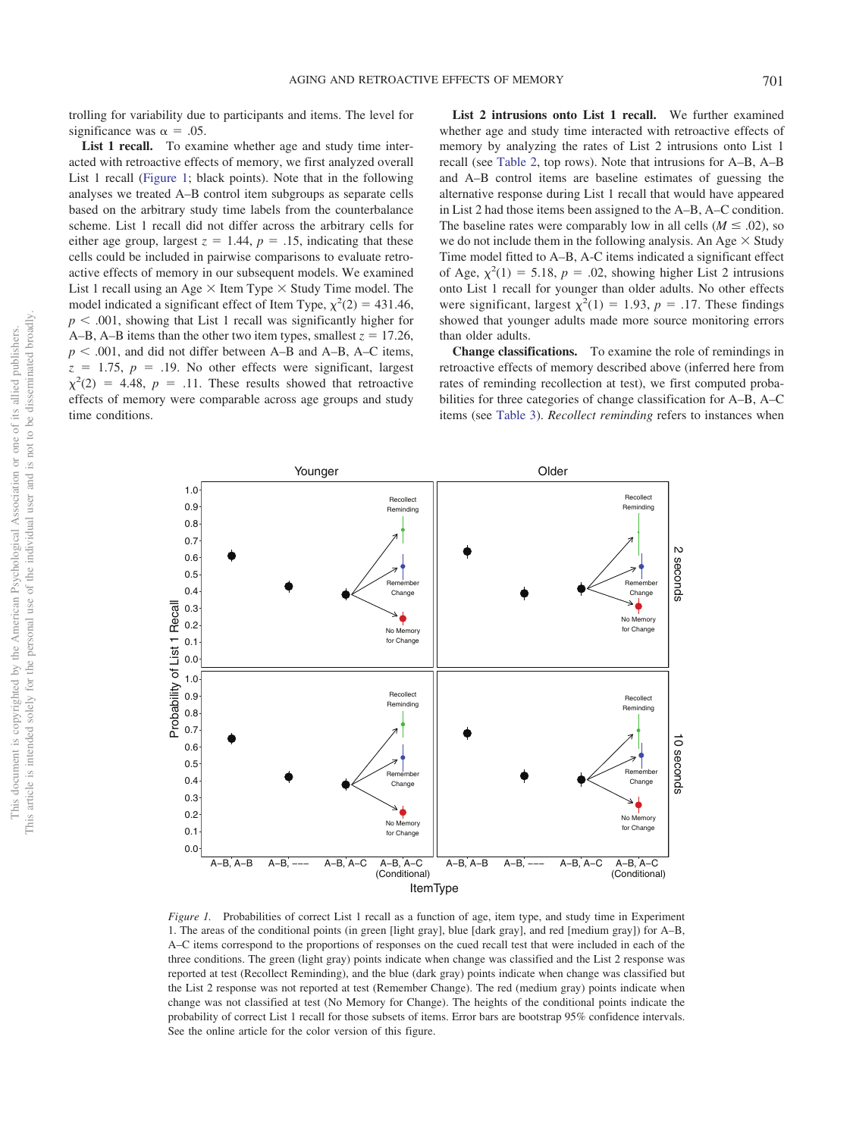trolling for variability due to participants and items. The level for significance was  $\alpha = .05$ .

List 1 recall. To examine whether age and study time interacted with retroactive effects of memory, we first analyzed overall List 1 recall [\(Figure 1;](#page-4-0) black points). Note that in the following analyses we treated A–B control item subgroups as separate cells based on the arbitrary study time labels from the counterbalance scheme. List 1 recall did not differ across the arbitrary cells for either age group, largest  $z = 1.44$ ,  $p = .15$ , indicating that these cells could be included in pairwise comparisons to evaluate retroactive effects of memory in our subsequent models. We examined List 1 recall using an Age  $\times$  Item Type  $\times$  Study Time model. The model indicated a significant effect of Item Type,  $\chi^2(2) = 431.46$ ,  $p < .001$ , showing that List 1 recall was significantly higher for A–B, A–B items than the other two item types, smallest  $z = 17.26$ ,  $p < .001$ , and did not differ between A–B and A–B, A–C items,  $z = 1.75$ ,  $p = .19$ . No other effects were significant, largest  $\chi^2(2) = 4.48$ ,  $p = .11$ . These results showed that retroactive effects of memory were comparable across age groups and study time conditions.

**List 2 intrusions onto List 1 recall.** We further examined whether age and study time interacted with retroactive effects of memory by analyzing the rates of List 2 intrusions onto List 1 recall (see [Table 2,](#page-5-0) top rows). Note that intrusions for A–B, A–B and A–B control items are baseline estimates of guessing the alternative response during List 1 recall that would have appeared in List 2 had those items been assigned to the A–B, A–C condition. The baseline rates were comparably low in all cells ( $M \leq .02$ ), so we do not include them in the following analysis. An Age  $\times$  Study Time model fitted to A–B, A-C items indicated a significant effect of Age,  $\chi^2(1) = 5.18$ ,  $p = .02$ , showing higher List 2 intrusions onto List 1 recall for younger than older adults. No other effects were significant, largest  $\chi^2(1) = 1.93$ ,  $p = .17$ . These findings showed that younger adults made more source monitoring errors than older adults.

**Change classifications.** To examine the role of remindings in retroactive effects of memory described above (inferred here from rates of reminding recollection at test), we first computed probabilities for three categories of change classification for A–B, A–C items (see [Table 3\)](#page-5-1). *Recollect reminding* refers to instances when



**Younger Older** 

<span id="page-4-0"></span>*Figure 1.* Probabilities of correct List 1 recall as a function of age, item type, and study time in Experiment 1. The areas of the conditional points (in green [light gray], blue [dark gray], and red [medium gray]) for A–B, A–C items correspond to the proportions of responses on the cued recall test that were included in each of the three conditions. The green (light gray) points indicate when change was classified and the List 2 response was reported at test (Recollect Reminding), and the blue (dark gray) points indicate when change was classified but the List 2 response was not reported at test (Remember Change). The red (medium gray) points indicate when change was not classified at test (No Memory for Change). The heights of the conditional points indicate the probability of correct List 1 recall for those subsets of items. Error bars are bootstrap 95% confidence intervals. See the online article for the color version of this figure.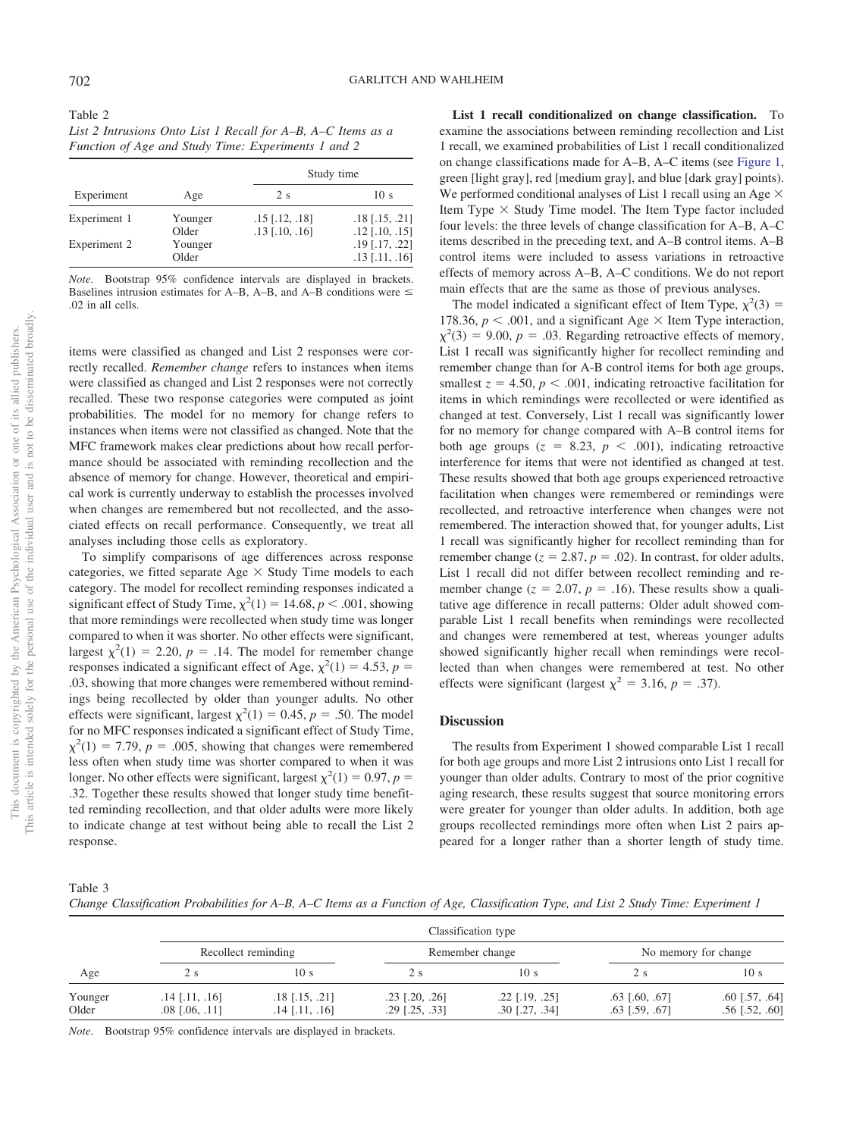<span id="page-5-0"></span>

| Table 2                                                      |
|--------------------------------------------------------------|
| List 2 Intrusions Onto List 1 Recall for A–B, A–C Items as a |
| Function of Age and Study Time: Experiments 1 and 2          |

|              |                  | Study time                                         |                                                    |  |
|--------------|------------------|----------------------------------------------------|----------------------------------------------------|--|
| Experiment   | Age              | 2s                                                 | 10 <sub>s</sub>                                    |  |
| Experiment 1 | Younger<br>Older | $.15$ [ $.12$ , $.18$ ]<br>$.13$ [ $.10$ , $.16$ ] | $.18$ [ $.15$ , $.21$ ]<br>$.12$ [ $.10$ , $.15$ ] |  |
| Experiment 2 | Younger<br>Older |                                                    | $.19$ [.17, .22]<br>$.13$ [ $.11$ , $.16$ ]        |  |

*Note*. Bootstrap 95% confidence intervals are displayed in brackets. Baselines intrusion estimates for A–B, A–B, and A–B conditions were  $\leq$ .02 in all cells.

items were classified as changed and List 2 responses were correctly recalled. *Remember change* refers to instances when items were classified as changed and List 2 responses were not correctly recalled. These two response categories were computed as joint probabilities. The model for no memory for change refers to instances when items were not classified as changed. Note that the MFC framework makes clear predictions about how recall performance should be associated with reminding recollection and the absence of memory for change. However, theoretical and empirical work is currently underway to establish the processes involved when changes are remembered but not recollected, and the associated effects on recall performance. Consequently, we treat all analyses including those cells as exploratory.

To simplify comparisons of age differences across response categories, we fitted separate Age  $\times$  Study Time models to each category. The model for recollect reminding responses indicated a significant effect of Study Time,  $\chi^2(1) = 14.68$ ,  $p < .001$ , showing that more remindings were recollected when study time was longer compared to when it was shorter. No other effects were significant, largest  $\chi^2(1) = 2.20$ ,  $p = .14$ . The model for remember change responses indicated a significant effect of Age,  $\chi^2(1) = 4.53$ ,  $p =$ .03, showing that more changes were remembered without remindings being recollected by older than younger adults. No other effects were significant, largest  $\chi^2(1) = 0.45$ ,  $p = .50$ . The model for no MFC responses indicated a significant effect of Study Time,  $\chi^2(1) = 7.79$ ,  $p = .005$ , showing that changes were remembered less often when study time was shorter compared to when it was longer. No other effects were significant, largest  $\chi^2(1) = 0.97$ ,  $p =$ .32. Together these results showed that longer study time benefitted reminding recollection, and that older adults were more likely to indicate change at test without being able to recall the List 2 response.

**List 1 recall conditionalized on change classification.** To examine the associations between reminding recollection and List 1 recall, we examined probabilities of List 1 recall conditionalized on change classifications made for A–B, A–C items (see [Figure 1,](#page-4-0) green [light gray], red [medium gray], and blue [dark gray] points). We performed conditional analyses of List 1 recall using an Age  $\times$ Item Type  $\times$  Study Time model. The Item Type factor included four levels: the three levels of change classification for A–B, A–C items described in the preceding text, and A–B control items. A–B control items were included to assess variations in retroactive effects of memory across A–B, A–C conditions. We do not report main effects that are the same as those of previous analyses.

The model indicated a significant effect of Item Type,  $\chi^2(3)$  = 178.36,  $p < .001$ , and a significant Age  $\times$  Item Type interaction,  $\chi^2(3) = 9.00, p = .03$ . Regarding retroactive effects of memory, List 1 recall was significantly higher for recollect reminding and remember change than for A-B control items for both age groups, smallest  $z = 4.50$ ,  $p < .001$ , indicating retroactive facilitation for items in which remindings were recollected or were identified as changed at test. Conversely, List 1 recall was significantly lower for no memory for change compared with A–B control items for both age groups  $(z = 8.23, p < .001)$ , indicating retroactive interference for items that were not identified as changed at test. These results showed that both age groups experienced retroactive facilitation when changes were remembered or remindings were recollected, and retroactive interference when changes were not remembered. The interaction showed that, for younger adults, List 1 recall was significantly higher for recollect reminding than for remember change  $(z = 2.87, p = .02)$ . In contrast, for older adults, List 1 recall did not differ between recollect reminding and remember change ( $z = 2.07$ ,  $p = .16$ ). These results show a qualitative age difference in recall patterns: Older adult showed comparable List 1 recall benefits when remindings were recollected and changes were remembered at test, whereas younger adults showed significantly higher recall when remindings were recollected than when changes were remembered at test. No other effects were significant (largest  $\chi^2 = 3.16$ ,  $p = .37$ ).

## **Discussion**

The results from Experiment 1 showed comparable List 1 recall for both age groups and more List 2 intrusions onto List 1 recall for younger than older adults. Contrary to most of the prior cognitive aging research, these results suggest that source monitoring errors were greater for younger than older adults. In addition, both age groups recollected remindings more often when List 2 pairs appeared for a longer rather than a shorter length of study time.

<span id="page-5-1"></span>Table 3

*Change Classification Probabilities for A–B, A–C Items as a Function of Age, Classification Type, and List 2 Study Time: Experiment 1*

|                  |                                          | Classification type                  |                                      |                                      |                                      |                                      |  |
|------------------|------------------------------------------|--------------------------------------|--------------------------------------|--------------------------------------|--------------------------------------|--------------------------------------|--|
|                  |                                          | Recollect reminding                  |                                      | Remember change                      |                                      | No memory for change                 |  |
| Age              | 2 s                                      | 10 <sub>s</sub>                      | 2 s                                  | 10 <sub>s</sub>                      | 2 s                                  | 10 s                                 |  |
| Younger<br>Older | $.14$ [.11, .16]<br>$.08$ [ $.06, .11$ ] | $.18$ [.15, .21]<br>$.14$ [.11, .16] | $.23$ [.20, .26]<br>$.29$ [.25, .33] | $.22$ [.19, .25]<br>$.30$ [.27, .34] | $.63$ [.60, .67]<br>$.63$ [.59, .67] | $.60$ [.57, .64]<br>$.56$ [.52, .60] |  |

*Note*. Bootstrap 95% confidence intervals are displayed in brackets.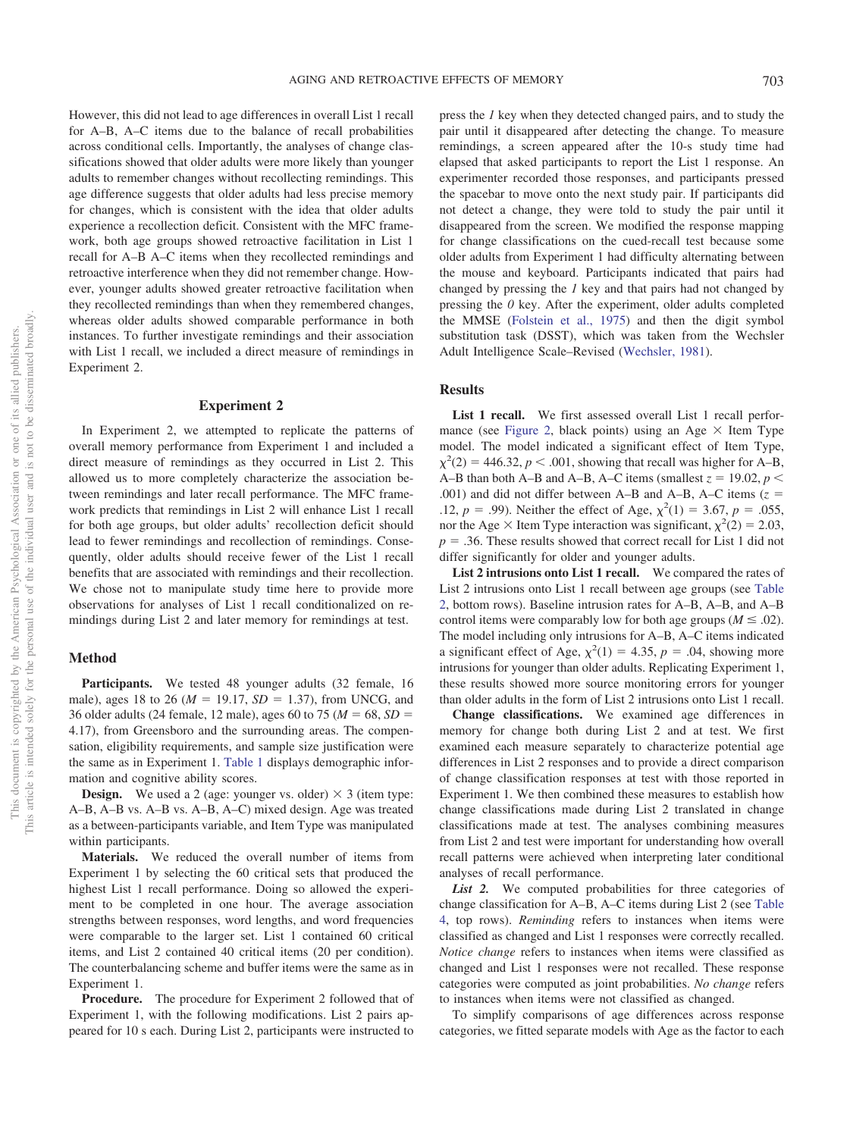However, this did not lead to age differences in overall List 1 recall for A–B, A–C items due to the balance of recall probabilities across conditional cells. Importantly, the analyses of change classifications showed that older adults were more likely than younger adults to remember changes without recollecting remindings. This age difference suggests that older adults had less precise memory for changes, which is consistent with the idea that older adults experience a recollection deficit. Consistent with the MFC framework, both age groups showed retroactive facilitation in List 1 recall for A–B A–C items when they recollected remindings and retroactive interference when they did not remember change. However, younger adults showed greater retroactive facilitation when they recollected remindings than when they remembered changes, whereas older adults showed comparable performance in both instances. To further investigate remindings and their association with List 1 recall, we included a direct measure of remindings in Experiment 2.

### **Experiment 2**

In Experiment 2, we attempted to replicate the patterns of overall memory performance from Experiment 1 and included a direct measure of remindings as they occurred in List 2. This allowed us to more completely characterize the association between remindings and later recall performance. The MFC framework predicts that remindings in List 2 will enhance List 1 recall for both age groups, but older adults' recollection deficit should lead to fewer remindings and recollection of remindings. Consequently, older adults should receive fewer of the List 1 recall benefits that are associated with remindings and their recollection. We chose not to manipulate study time here to provide more observations for analyses of List 1 recall conditionalized on remindings during List 2 and later memory for remindings at test.

## **Method**

Participants. We tested 48 younger adults (32 female, 16 male), ages 18 to 26 ( $M = 19.17$ ,  $SD = 1.37$ ), from UNCG, and 36 older adults (24 female, 12 male), ages 60 to 75 ( $M = 68$ ,  $SD =$ 4.17), from Greensboro and the surrounding areas. The compensation, eligibility requirements, and sample size justification were the same as in Experiment 1. [Table 1](#page-3-0) displays demographic information and cognitive ability scores.

**Design.** We used a 2 (age: younger vs. older)  $\times$  3 (item type: A–B, A–B vs. A–B vs. A–B, A–C) mixed design. Age was treated as a between-participants variable, and Item Type was manipulated within participants.

**Materials.** We reduced the overall number of items from Experiment 1 by selecting the 60 critical sets that produced the highest List 1 recall performance. Doing so allowed the experiment to be completed in one hour. The average association strengths between responses, word lengths, and word frequencies were comparable to the larger set. List 1 contained 60 critical items, and List 2 contained 40 critical items (20 per condition). The counterbalancing scheme and buffer items were the same as in Experiment 1.

**Procedure.** The procedure for Experiment 2 followed that of Experiment 1, with the following modifications. List 2 pairs appeared for 10 s each. During List 2, participants were instructed to

press the *1* key when they detected changed pairs, and to study the pair until it disappeared after detecting the change. To measure remindings, a screen appeared after the 10-s study time had elapsed that asked participants to report the List 1 response. An experimenter recorded those responses, and participants pressed the spacebar to move onto the next study pair. If participants did not detect a change, they were told to study the pair until it disappeared from the screen. We modified the response mapping for change classifications on the cued-recall test because some older adults from Experiment 1 had difficulty alternating between the mouse and keyboard. Participants indicated that pairs had changed by pressing the *1* key and that pairs had not changed by pressing the *0* key. After the experiment, older adults completed the MMSE [\(Folstein et al., 1975\)](#page-11-24) and then the digit symbol substitution task (DSST), which was taken from the Wechsler Adult Intelligence Scale–Revised [\(Wechsler, 1981\)](#page-12-4).

# **Results**

List 1 recall. We first assessed overall List 1 recall perfor-mance (see [Figure 2,](#page-7-0) black points) using an Age  $\times$  Item Type model. The model indicated a significant effect of Item Type,  $\chi^2(2) = 446.32, p < .001$ , showing that recall was higher for A–B, A–B than both A–B and A–B, A–C items (smallest  $z = 19.02$ ,  $p <$ .001) and did not differ between A–B and A–B, A–C items  $(z =$ .12,  $p = .99$ ). Neither the effect of Age,  $\chi^2(1) = 3.67$ ,  $p = .055$ , nor the Age  $\times$  Item Type interaction was significant,  $\chi^2(2) = 2.03$ ,  $p = 0.36$ . These results showed that correct recall for List 1 did not differ significantly for older and younger adults.

**List 2 intrusions onto List 1 recall.** We compared the rates of List 2 intrusions onto List 1 recall between age groups (see [Table](#page-5-0) [2,](#page-5-0) bottom rows). Baseline intrusion rates for A–B, A–B, and A–B control items were comparably low for both age groups ( $M \leq .02$ ). The model including only intrusions for A–B, A–C items indicated a significant effect of Age,  $\chi^2(1) = 4.35$ ,  $p = .04$ , showing more intrusions for younger than older adults. Replicating Experiment 1, these results showed more source monitoring errors for younger than older adults in the form of List 2 intrusions onto List 1 recall.

**Change classifications.** We examined age differences in memory for change both during List 2 and at test. We first examined each measure separately to characterize potential age differences in List 2 responses and to provide a direct comparison of change classification responses at test with those reported in Experiment 1. We then combined these measures to establish how change classifications made during List 2 translated in change classifications made at test. The analyses combining measures from List 2 and test were important for understanding how overall recall patterns were achieved when interpreting later conditional analyses of recall performance.

List 2. We computed probabilities for three categories of change classification for A–B, A–C items during List 2 (see [Table](#page-7-1) [4,](#page-7-1) top rows). *Reminding* refers to instances when items were classified as changed and List 1 responses were correctly recalled. *Notice change* refers to instances when items were classified as changed and List 1 responses were not recalled. These response categories were computed as joint probabilities. *No change* refers to instances when items were not classified as changed.

To simplify comparisons of age differences across response categories, we fitted separate models with Age as the factor to each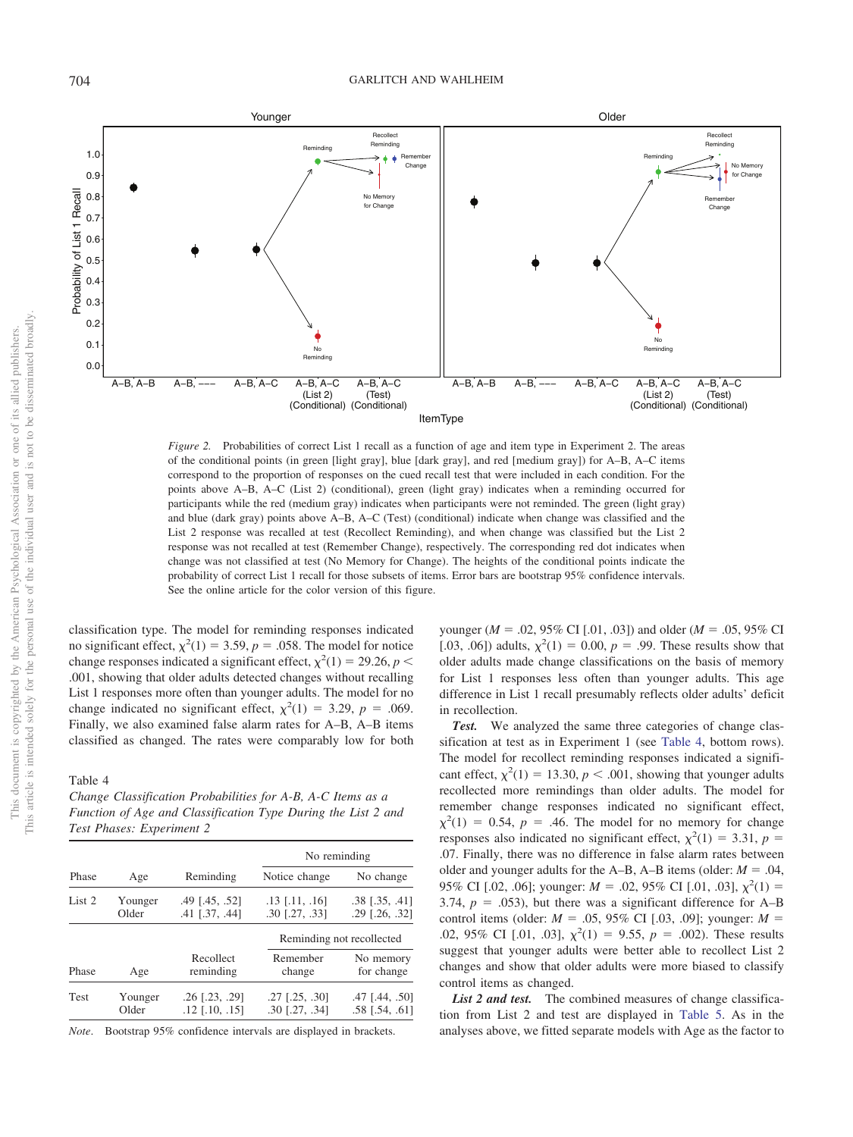

<span id="page-7-0"></span>*Figure 2.* Probabilities of correct List 1 recall as a function of age and item type in Experiment 2. The areas of the conditional points (in green [light gray], blue [dark gray], and red [medium gray]) for A–B, A–C items correspond to the proportion of responses on the cued recall test that were included in each condition. For the points above A–B, A–C (List 2) (conditional), green (light gray) indicates when a reminding occurred for participants while the red (medium gray) indicates when participants were not reminded. The green (light gray) and blue (dark gray) points above A–B, A–C (Test) (conditional) indicate when change was classified and the List 2 response was recalled at test (Recollect Reminding), and when change was classified but the List 2 response was not recalled at test (Remember Change), respectively. The corresponding red dot indicates when change was not classified at test (No Memory for Change). The heights of the conditional points indicate the probability of correct List 1 recall for those subsets of items. Error bars are bootstrap 95% confidence intervals. See the online article for the color version of this figure.

classification type. The model for reminding responses indicated no significant effect,  $\chi^2(1) = 3.59$ ,  $p = .058$ . The model for notice change responses indicated a significant effect,  $\chi^2(1) = 29.26$ ,  $p <$ .001, showing that older adults detected changes without recalling List 1 responses more often than younger adults. The model for no change indicated no significant effect,  $\chi^2(1) = 3.29$ ,  $p = .069$ . Finally, we also examined false alarm rates for A–B, A–B items classified as changed. The rates were comparably low for both

## <span id="page-7-1"></span>Table 4

*Change Classification Probabilities for A-B, A-C Items as a Function of Age and Classification Type During the List 2 and Test Phases: Experiment 2*

|                  |                                               | No reminding                                  |                                            |  |
|------------------|-----------------------------------------------|-----------------------------------------------|--------------------------------------------|--|
| Age              | Reminding                                     | Notice change                                 | No change                                  |  |
| Younger<br>Older | .49 [.45, .52]<br>$.41$ [ $.37, .44$ ]        | $.13$ [.11, .16]<br>$.30$ $[.27, .33]$        | $.38$ [ $.35, .41$ ]<br>$.29$ $[.26, .32]$ |  |
|                  |                                               | Reminding not recollected                     |                                            |  |
| Age              | Recollect<br>reminding                        | Remember<br>change                            | No memory<br>for change                    |  |
| Younger<br>Older | $.26$ $[.23, .29]$<br>$.12$ [ $.10$ , $.15$ ] | $.27$ [ $.25$ , $.30$ ]<br>$.30$ $[.27, .34]$ | .47 [.44, .50]<br>$.58$ [ $.54$ , $.61$ ]  |  |
|                  |                                               |                                               |                                            |  |

*Note*. Bootstrap 95% confidence intervals are displayed in brackets.

younger (*M* - .02, 95% CI [.01, .03]) and older (*M* - .05, 95% CI [.03, .06]) adults,  $\chi^2(1) = 0.00$ ,  $p = .99$ . These results show that older adults made change classifications on the basis of memory for List 1 responses less often than younger adults. This age difference in List 1 recall presumably reflects older adults' deficit in recollection.

*Test.* We analyzed the same three categories of change classification at test as in Experiment 1 (see [Table 4,](#page-7-1) bottom rows). The model for recollect reminding responses indicated a significant effect,  $\chi^2(1) = 13.30, p < .001$ , showing that younger adults recollected more remindings than older adults. The model for remember change responses indicated no significant effect,  $\chi^2(1) = 0.54$ ,  $p = .46$ . The model for no memory for change responses also indicated no significant effect,  $\chi^2(1) = 3.31$ ,  $p =$ .07. Finally, there was no difference in false alarm rates between older and younger adults for the A–B, A–B items (older:  $M = .04$ , 95% CI [.02, .06]; younger:  $M = .02, 95\%$  CI [.01, .03],  $\chi^2(1) =$ 3.74,  $p = .053$ ), but there was a significant difference for A–B control items (older:  $M = .05, 95\%$  CI [.03, .09]; younger:  $M =$ .02, 95% CI [.01, .03],  $\chi^2(1) = 9.55$ ,  $p = .002$ ). These results suggest that younger adults were better able to recollect List 2 changes and show that older adults were more biased to classify control items as changed.

*List 2 and test.* The combined measures of change classification from List 2 and test are displayed in [Table 5.](#page-8-0) As in the analyses above, we fitted separate models with Age as the factor to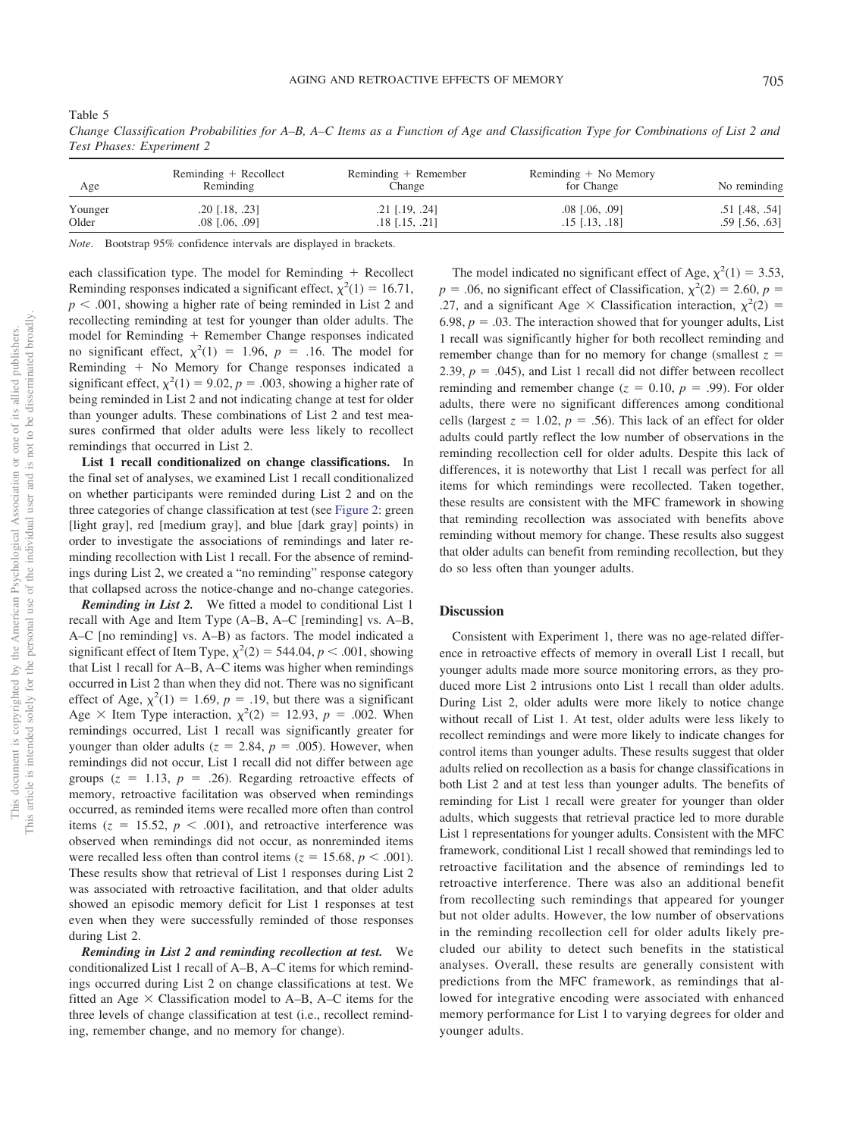| I<br>I<br>v<br>. .<br>۰. |
|--------------------------|
|--------------------------|

| Age     | Reminding $+$ Recollect<br>Reminding | Reminding + Remember<br>Change | Reminding $+$ No Memory<br>for Change | No reminding     |
|---------|--------------------------------------|--------------------------------|---------------------------------------|------------------|
| Younger | $.20$ [.18, .23]                     | $.21$ [.19, .24]               | $.08$ [ $.06, .09$ ]                  | $.51$ [.48, .54] |
| Older   | $.08$ $[.06, .09]$                   | $.18$ $[.15, .21]$             | $.15$ [ $.13$ , $.18$ ]               | $.59$ [.56, .63] |

*Change Classification Probabilities for A–B, A–C Items as a Function of Age and Classification Type for Combinations of List 2 and Test Phases: Experiment 2*

*Note*. Bootstrap 95% confidence intervals are displayed in brackets.

each classification type. The model for Reminding  $+$  Recollect Reminding responses indicated a significant effect,  $\chi^2(1) = 16.71$ ,  $p < .001$ , showing a higher rate of being reminded in List 2 and recollecting reminding at test for younger than older adults. The model for Reminding  $+$  Remember Change responses indicated no significant effect,  $\chi^2(1) = 1.96$ ,  $p = .16$ . The model for Reminding  $+$  No Memory for Change responses indicated a significant effect,  $\chi^2(1) = 9.02$ ,  $p = .003$ , showing a higher rate of being reminded in List 2 and not indicating change at test for older than younger adults. These combinations of List 2 and test measures confirmed that older adults were less likely to recollect remindings that occurred in List 2.

**List 1 recall conditionalized on change classifications.** In the final set of analyses, we examined List 1 recall conditionalized on whether participants were reminded during List 2 and on the three categories of change classification at test (see [Figure 2:](#page-7-0) green [light gray], red [medium gray], and blue [dark gray] points) in order to investigate the associations of remindings and later reminding recollection with List 1 recall. For the absence of remindings during List 2, we created a "no reminding" response category that collapsed across the notice-change and no-change categories.

*Reminding in List 2.* We fitted a model to conditional List 1 recall with Age and Item Type (A–B, A–C [reminding] vs. A–B, A–C [no reminding] vs. A–B) as factors. The model indicated a significant effect of Item Type,  $\chi^2(2) = 544.04$ ,  $p < .001$ , showing that List 1 recall for A–B, A–C items was higher when remindings occurred in List 2 than when they did not. There was no significant effect of Age,  $\chi^2(1) = 1.69$ ,  $p = .19$ , but there was a significant Age  $\times$  Item Type interaction,  $\chi^2(2) = 12.93$ ,  $p = .002$ . When remindings occurred, List 1 recall was significantly greater for younger than older adults ( $z = 2.84$ ,  $p = .005$ ). However, when remindings did not occur, List 1 recall did not differ between age groups  $(z = 1.13, p = .26)$ . Regarding retroactive effects of memory, retroactive facilitation was observed when remindings occurred, as reminded items were recalled more often than control items  $(z = 15.52, p < .001)$ , and retroactive interference was observed when remindings did not occur, as nonreminded items were recalled less often than control items  $(z = 15.68, p < .001)$ . These results show that retrieval of List 1 responses during List 2 was associated with retroactive facilitation, and that older adults showed an episodic memory deficit for List 1 responses at test even when they were successfully reminded of those responses during List 2.

*Reminding in List 2 and reminding recollection at test.* We conditionalized List 1 recall of A–B, A–C items for which remindings occurred during List 2 on change classifications at test. We fitted an Age  $\times$  Classification model to A–B, A–C items for the three levels of change classification at test (i.e., recollect reminding, remember change, and no memory for change).

The model indicated no significant effect of Age,  $\chi^2(1) = 3.53$ ,  $p = .06$ , no significant effect of Classification,  $\chi^2(2) = 2.60$ ,  $p =$ .27, and a significant Age  $\times$  Classification interaction,  $\chi^2(2)$  = 6.98,  $p = 0.03$ . The interaction showed that for younger adults, List 1 recall was significantly higher for both recollect reminding and remember change than for no memory for change (smallest  $z =$ 2.39,  $p = 0.045$ ), and List 1 recall did not differ between recollect reminding and remember change  $(z = 0.10, p = .99)$ . For older adults, there were no significant differences among conditional cells (largest  $z = 1.02$ ,  $p = .56$ ). This lack of an effect for older adults could partly reflect the low number of observations in the reminding recollection cell for older adults. Despite this lack of differences, it is noteworthy that List 1 recall was perfect for all items for which remindings were recollected. Taken together, these results are consistent with the MFC framework in showing that reminding recollection was associated with benefits above reminding without memory for change. These results also suggest that older adults can benefit from reminding recollection, but they do so less often than younger adults.

## **Discussion**

Consistent with Experiment 1, there was no age-related difference in retroactive effects of memory in overall List 1 recall, but younger adults made more source monitoring errors, as they produced more List 2 intrusions onto List 1 recall than older adults. During List 2, older adults were more likely to notice change without recall of List 1. At test, older adults were less likely to recollect remindings and were more likely to indicate changes for control items than younger adults. These results suggest that older adults relied on recollection as a basis for change classifications in both List 2 and at test less than younger adults. The benefits of reminding for List 1 recall were greater for younger than older adults, which suggests that retrieval practice led to more durable List 1 representations for younger adults. Consistent with the MFC framework, conditional List 1 recall showed that remindings led to retroactive facilitation and the absence of remindings led to retroactive interference. There was also an additional benefit from recollecting such remindings that appeared for younger but not older adults. However, the low number of observations in the reminding recollection cell for older adults likely precluded our ability to detect such benefits in the statistical analyses. Overall, these results are generally consistent with predictions from the MFC framework, as remindings that allowed for integrative encoding were associated with enhanced memory performance for List 1 to varying degrees for older and younger adults.

<span id="page-8-0"></span>Table 5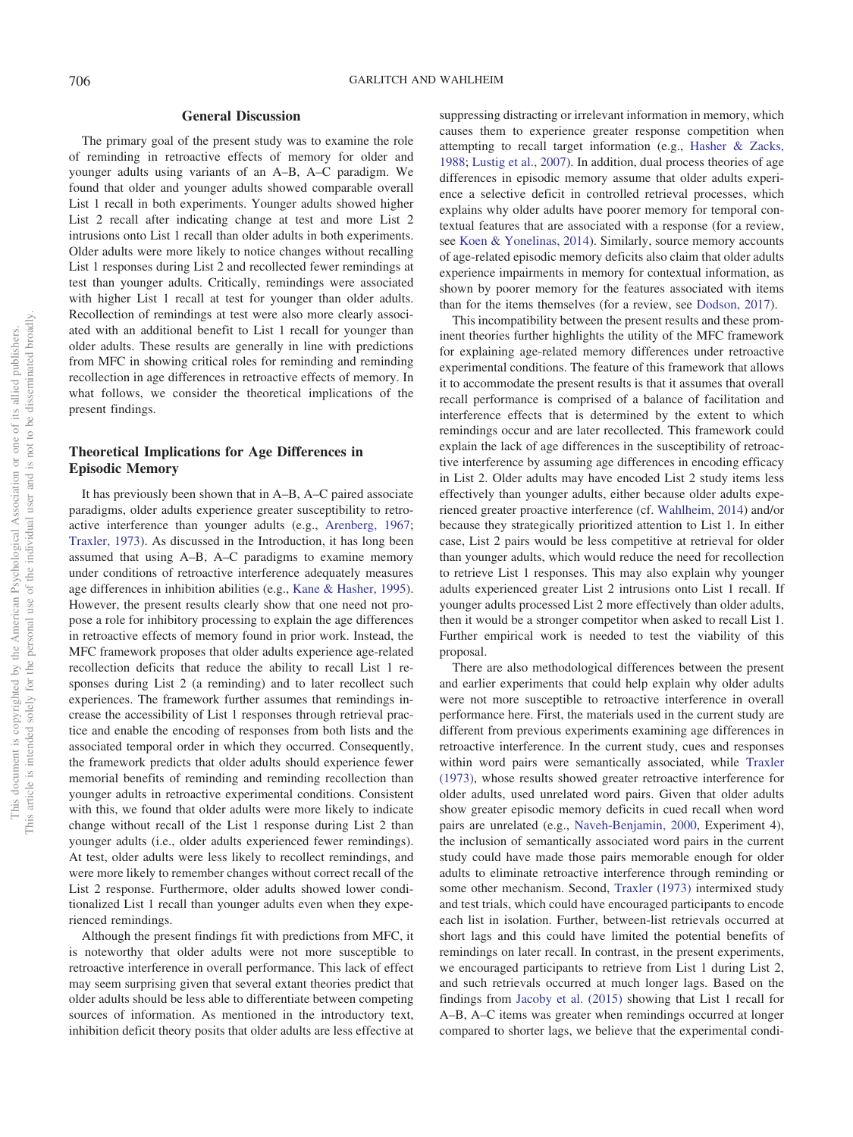## **General Discussion**

The primary goal of the present study was to examine the role of reminding in retroactive effects of memory for older and younger adults using variants of an A–B, A–C paradigm. We found that older and younger adults showed comparable overall List 1 recall in both experiments. Younger adults showed higher List 2 recall after indicating change at test and more List 2 intrusions onto List 1 recall than older adults in both experiments. Older adults were more likely to notice changes without recalling List 1 responses during List 2 and recollected fewer remindings at test than younger adults. Critically, remindings were associated with higher List 1 recall at test for younger than older adults. Recollection of remindings at test were also more clearly associated with an additional benefit to List 1 recall for younger than older adults. These results are generally in line with predictions from MFC in showing critical roles for reminding and reminding recollection in age differences in retroactive effects of memory. In what follows, we consider the theoretical implications of the present findings.

# **Theoretical Implications for Age Differences in Episodic Memory**

It has previously been shown that in A–B, A–C paired associate paradigms, older adults experience greater susceptibility to retroactive interference than younger adults (e.g., [Arenberg, 1967;](#page-10-0) [Traxler, 1973\)](#page-11-2). As discussed in the Introduction, it has long been assumed that using A–B, A–C paradigms to examine memory under conditions of retroactive interference adequately measures age differences in inhibition abilities (e.g., [Kane & Hasher, 1995\)](#page-11-0). However, the present results clearly show that one need not propose a role for inhibitory processing to explain the age differences in retroactive effects of memory found in prior work. Instead, the MFC framework proposes that older adults experience age-related recollection deficits that reduce the ability to recall List 1 responses during List 2 (a reminding) and to later recollect such experiences. The framework further assumes that remindings increase the accessibility of List 1 responses through retrieval practice and enable the encoding of responses from both lists and the associated temporal order in which they occurred. Consequently, the framework predicts that older adults should experience fewer memorial benefits of reminding and reminding recollection than younger adults in retroactive experimental conditions. Consistent with this, we found that older adults were more likely to indicate change without recall of the List 1 response during List 2 than younger adults (i.e., older adults experienced fewer remindings). At test, older adults were less likely to recollect remindings, and were more likely to remember changes without correct recall of the List 2 response. Furthermore, older adults showed lower conditionalized List 1 recall than younger adults even when they experienced remindings.

Although the present findings fit with predictions from MFC, it is noteworthy that older adults were not more susceptible to retroactive interference in overall performance. This lack of effect may seem surprising given that several extant theories predict that older adults should be less able to differentiate between competing sources of information. As mentioned in the introductory text, inhibition deficit theory posits that older adults are less effective at suppressing distracting or irrelevant information in memory, which causes them to experience greater response competition when attempting to recall target information (e.g., [Hasher & Zacks,](#page-11-3) [1988;](#page-11-3) [Lustig et al., 2007\)](#page-11-4). In addition, dual process theories of age differences in episodic memory assume that older adults experience a selective deficit in controlled retrieval processes, which explains why older adults have poorer memory for temporal contextual features that are associated with a response (for a review, see [Koen & Yonelinas, 2014\)](#page-11-33). Similarly, source memory accounts of age-related episodic memory deficits also claim that older adults experience impairments in memory for contextual information, as shown by poorer memory for the features associated with items than for the items themselves (for a review, see [Dodson, 2017\)](#page-11-34).

This incompatibility between the present results and these prominent theories further highlights the utility of the MFC framework for explaining age-related memory differences under retroactive experimental conditions. The feature of this framework that allows it to accommodate the present results is that it assumes that overall recall performance is comprised of a balance of facilitation and interference effects that is determined by the extent to which remindings occur and are later recollected. This framework could explain the lack of age differences in the susceptibility of retroactive interference by assuming age differences in encoding efficacy in List 2. Older adults may have encoded List 2 study items less effectively than younger adults, either because older adults experienced greater proactive interference (cf. [Wahlheim, 2014\)](#page-12-1) and/or because they strategically prioritized attention to List 1. In either case, List 2 pairs would be less competitive at retrieval for older than younger adults, which would reduce the need for recollection to retrieve List 1 responses. This may also explain why younger adults experienced greater List 2 intrusions onto List 1 recall. If younger adults processed List 2 more effectively than older adults, then it would be a stronger competitor when asked to recall List 1. Further empirical work is needed to test the viability of this proposal.

There are also methodological differences between the present and earlier experiments that could help explain why older adults were not more susceptible to retroactive interference in overall performance here. First, the materials used in the current study are different from previous experiments examining age differences in retroactive interference. In the current study, cues and responses within word pairs were semantically associated, while [Traxler](#page-11-2) [\(1973\),](#page-11-2) whose results showed greater retroactive interference for older adults, used unrelated word pairs. Given that older adults show greater episodic memory deficits in cued recall when word pairs are unrelated (e.g., [Naveh-Benjamin, 2000,](#page-11-35) Experiment 4), the inclusion of semantically associated word pairs in the current study could have made those pairs memorable enough for older adults to eliminate retroactive interference through reminding or some other mechanism. Second, [Traxler \(1973\)](#page-11-2) intermixed study and test trials, which could have encouraged participants to encode each list in isolation. Further, between-list retrievals occurred at short lags and this could have limited the potential benefits of remindings on later recall. In contrast, in the present experiments, we encouraged participants to retrieve from List 1 during List 2, and such retrievals occurred at much longer lags. Based on the findings from [Jacoby et al. \(2015\)](#page-11-15) showing that List 1 recall for A–B, A–C items was greater when remindings occurred at longer compared to shorter lags, we believe that the experimental condi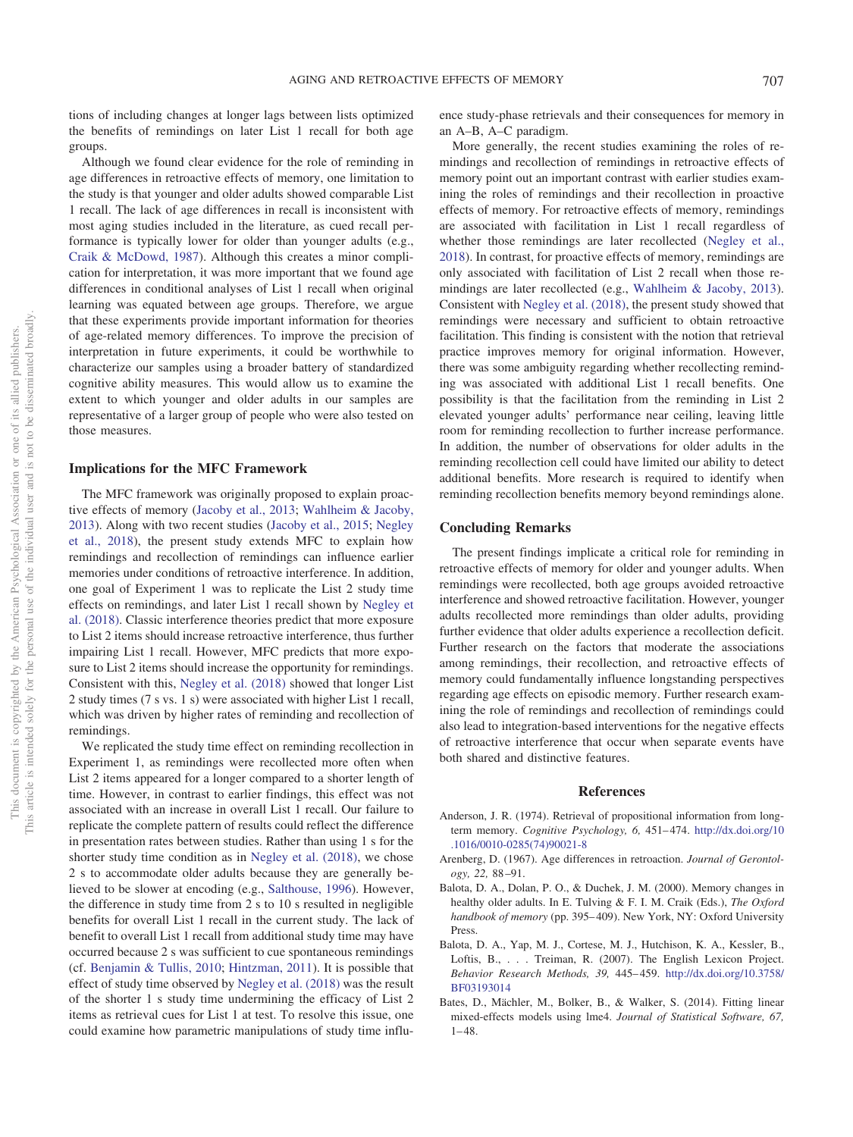tions of including changes at longer lags between lists optimized the benefits of remindings on later List 1 recall for both age groups.

Although we found clear evidence for the role of reminding in age differences in retroactive effects of memory, one limitation to the study is that younger and older adults showed comparable List 1 recall. The lack of age differences in recall is inconsistent with most aging studies included in the literature, as cued recall performance is typically lower for older than younger adults (e.g., [Craik & McDowd, 1987\)](#page-11-36). Although this creates a minor complication for interpretation, it was more important that we found age differences in conditional analyses of List 1 recall when original learning was equated between age groups. Therefore, we argue that these experiments provide important information for theories of age-related memory differences. To improve the precision of interpretation in future experiments, it could be worthwhile to characterize our samples using a broader battery of standardized cognitive ability measures. This would allow us to examine the extent to which younger and older adults in our samples are representative of a larger group of people who were also tested on those measures.

#### **Implications for the MFC Framework**

The MFC framework was originally proposed to explain proactive effects of memory [\(Jacoby et al., 2013;](#page-11-19) [Wahlheim & Jacoby,](#page-12-0) [2013\)](#page-12-0). Along with two recent studies [\(Jacoby et al., 2015;](#page-11-15) [Negley](#page-11-18) [et al., 2018\)](#page-11-18), the present study extends MFC to explain how remindings and recollection of remindings can influence earlier memories under conditions of retroactive interference. In addition, one goal of Experiment 1 was to replicate the List 2 study time effects on remindings, and later List 1 recall shown by [Negley et](#page-11-18) [al. \(2018\).](#page-11-18) Classic interference theories predict that more exposure to List 2 items should increase retroactive interference, thus further impairing List 1 recall. However, MFC predicts that more exposure to List 2 items should increase the opportunity for remindings. Consistent with this, [Negley et al. \(2018\)](#page-11-18) showed that longer List 2 study times (7 s vs. 1 s) were associated with higher List 1 recall, which was driven by higher rates of reminding and recollection of remindings.

We replicated the study time effect on reminding recollection in Experiment 1, as remindings were recollected more often when List 2 items appeared for a longer compared to a shorter length of time. However, in contrast to earlier findings, this effect was not associated with an increase in overall List 1 recall. Our failure to replicate the complete pattern of results could reflect the difference in presentation rates between studies. Rather than using 1 s for the shorter study time condition as in [Negley et al. \(2018\),](#page-11-18) we chose 2 s to accommodate older adults because they are generally believed to be slower at encoding (e.g., [Salthouse, 1996\)](#page-11-21). However, the difference in study time from 2 s to 10 s resulted in negligible benefits for overall List 1 recall in the current study. The lack of benefit to overall List 1 recall from additional study time may have occurred because 2 s was sufficient to cue spontaneous remindings (cf. [Benjamin & Tullis, 2010;](#page-11-37) [Hintzman, 2011\)](#page-11-16). It is possible that effect of study time observed by [Negley et al. \(2018\)](#page-11-18) was the result of the shorter 1 s study time undermining the efficacy of List 2 items as retrieval cues for List 1 at test. To resolve this issue, one could examine how parametric manipulations of study time influence study-phase retrievals and their consequences for memory in an A–B, A–C paradigm.

More generally, the recent studies examining the roles of remindings and recollection of remindings in retroactive effects of memory point out an important contrast with earlier studies examining the roles of remindings and their recollection in proactive effects of memory. For retroactive effects of memory, remindings are associated with facilitation in List 1 recall regardless of whether those remindings are later recollected [\(Negley et al.,](#page-11-18) [2018\)](#page-11-18). In contrast, for proactive effects of memory, remindings are only associated with facilitation of List 2 recall when those remindings are later recollected (e.g., [Wahlheim & Jacoby, 2013\)](#page-12-0). Consistent with [Negley et al. \(2018\),](#page-11-18) the present study showed that remindings were necessary and sufficient to obtain retroactive facilitation. This finding is consistent with the notion that retrieval practice improves memory for original information. However, there was some ambiguity regarding whether recollecting reminding was associated with additional List 1 recall benefits. One possibility is that the facilitation from the reminding in List 2 elevated younger adults' performance near ceiling, leaving little room for reminding recollection to further increase performance. In addition, the number of observations for older adults in the reminding recollection cell could have limited our ability to detect additional benefits. More research is required to identify when reminding recollection benefits memory beyond remindings alone.

## **Concluding Remarks**

The present findings implicate a critical role for reminding in retroactive effects of memory for older and younger adults. When remindings were recollected, both age groups avoided retroactive interference and showed retroactive facilitation. However, younger adults recollected more remindings than older adults, providing further evidence that older adults experience a recollection deficit. Further research on the factors that moderate the associations among remindings, their recollection, and retroactive effects of memory could fundamentally influence longstanding perspectives regarding age effects on episodic memory. Further research examining the role of remindings and recollection of remindings could also lead to integration-based interventions for the negative effects of retroactive interference that occur when separate events have both shared and distinctive features.

#### **References**

- <span id="page-10-1"></span>Anderson, J. R. (1974). Retrieval of propositional information from longterm memory. *Cognitive Psychology, 6,* 451– 474. [http://dx.doi.org/10](http://dx.doi.org/10.1016/0010-0285%2874%2990021-8) [.1016/0010-0285\(74\)90021-8](http://dx.doi.org/10.1016/0010-0285%2874%2990021-8)
- <span id="page-10-0"></span>Arenberg, D. (1967). Age differences in retroaction. *Journal of Gerontology, 22,* 88 –91.
- <span id="page-10-2"></span>Balota, D. A., Dolan, P. O., & Duchek, J. M. (2000). Memory changes in healthy older adults. In E. Tulving & F. I. M. Craik (Eds.), *The Oxford handbook of memory* (pp. 395– 409). New York, NY: Oxford University Press.
- <span id="page-10-3"></span>Balota, D. A., Yap, M. J., Cortese, M. J., Hutchison, K. A., Kessler, B., Loftis, B., ... Treiman, R. (2007). The English Lexicon Project. *Behavior Research Methods, 39,* 445– 459. [http://dx.doi.org/10.3758/](http://dx.doi.org/10.3758/BF03193014) [BF03193014](http://dx.doi.org/10.3758/BF03193014)
- <span id="page-10-4"></span>Bates, D., Mächler, M., Bolker, B., & Walker, S. (2014). Fitting linear mixed-effects models using lme4. *Journal of Statistical Software, 67,*  $1 - 48$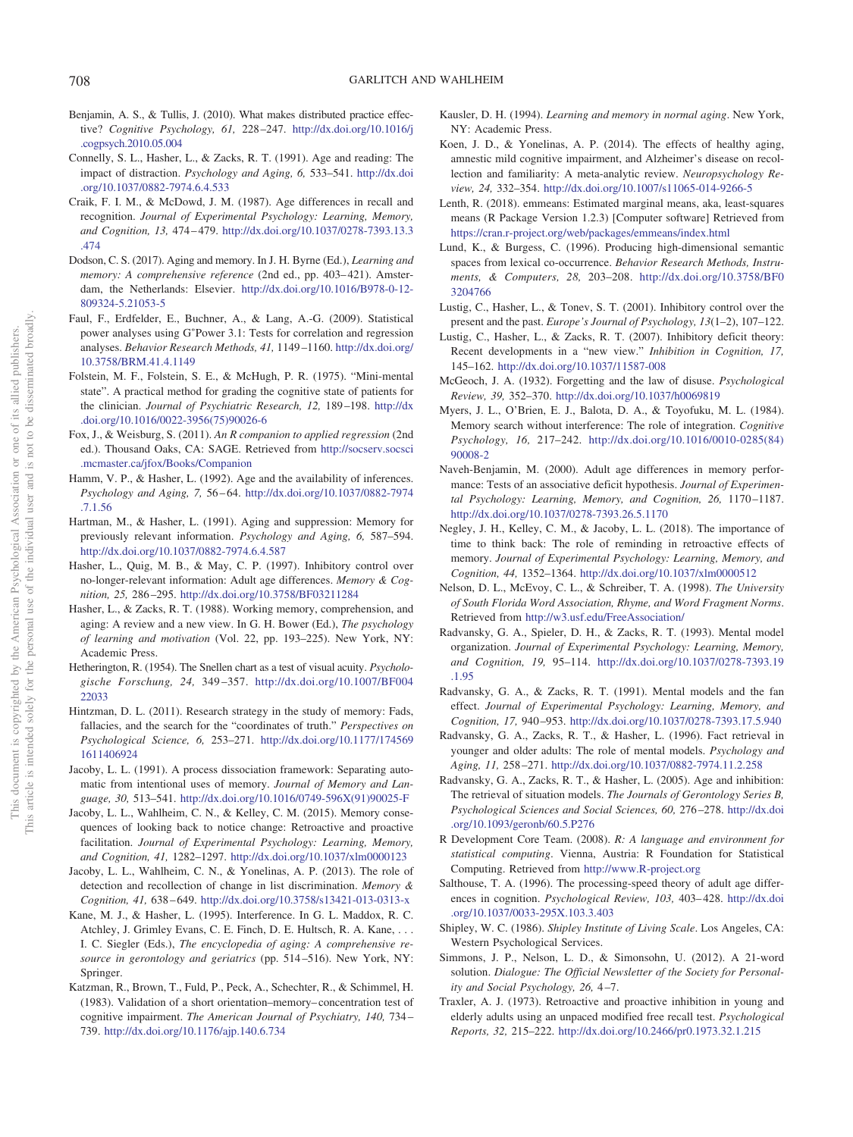- <span id="page-11-37"></span>Benjamin, A. S., & Tullis, J. (2010). What makes distributed practice effective? *Cognitive Psychology, 61,* 228 –247. [http://dx.doi.org/10.1016/j](http://dx.doi.org/10.1016/j.cogpsych.2010.05.004) [.cogpsych.2010.05.004](http://dx.doi.org/10.1016/j.cogpsych.2010.05.004)
- <span id="page-11-6"></span>Connelly, S. L., Hasher, L., & Zacks, R. T. (1991). Age and reading: The impact of distraction. *Psychology and Aging, 6,* 533–541. [http://dx.doi](http://dx.doi.org/10.1037/0882-7974.6.4.533) [.org/10.1037/0882-7974.6.4.533](http://dx.doi.org/10.1037/0882-7974.6.4.533)
- <span id="page-11-36"></span>Craik, F. I. M., & McDowd, J. M. (1987). Age differences in recall and recognition. *Journal of Experimental Psychology: Learning, Memory, and Cognition, 13,* 474 – 479. [http://dx.doi.org/10.1037/0278-7393.13.3](http://dx.doi.org/10.1037/0278-7393.13.3.474) [.474](http://dx.doi.org/10.1037/0278-7393.13.3.474)
- <span id="page-11-34"></span>Dodson, C. S. (2017). Aging and memory. In J. H. Byrne (Ed.), *Learning and memory: A comprehensive reference* (2nd ed., pp. 403– 421). Amsterdam, the Netherlands: Elsevier. [http://dx.doi.org/10.1016/B978-0-12-](http://dx.doi.org/10.1016/B978-0-12-809324-5.21053-5) [809324-5.21053-5](http://dx.doi.org/10.1016/B978-0-12-809324-5.21053-5)
- <span id="page-11-26"></span>Faul, F., Erdfelder, E., Buchner, A., & Lang, A.-G. (2009). Statistical power analyses using G\*Power 3.1: Tests for correlation and regression analyses. *Behavior Research Methods, 41,* 1149 –1160. [http://dx.doi.org/](http://dx.doi.org/10.3758/BRM.41.4.1149) [10.3758/BRM.41.4.1149](http://dx.doi.org/10.3758/BRM.41.4.1149)
- <span id="page-11-24"></span>Folstein, M. F., Folstein, S. E., & McHugh, P. R. (1975). "Mini-mental state". A practical method for grading the cognitive state of patients for the clinician. *Journal of Psychiatric Research, 12,* 189 –198. [http://dx](http://dx.doi.org/10.1016/0022-3956%2875%2990026-6) [.doi.org/10.1016/0022-3956\(75\)90026-6](http://dx.doi.org/10.1016/0022-3956%2875%2990026-6)
- <span id="page-11-31"></span>Fox, J., & Weisburg, S. (2011). *An R companion to applied regression* (2nd ed.). Thousand Oaks, CA: SAGE. Retrieved from [http://socserv.socsci](http://socserv.socsci.mcmaster.ca/jfox/Books/Companion) [.mcmaster.ca/jfox/Books/Companion](http://socserv.socsci.mcmaster.ca/jfox/Books/Companion)
- <span id="page-11-7"></span>Hamm, V. P., & Hasher, L. (1992). Age and the availability of inferences. *Psychology and Aging, 7,* 56 – 64. [http://dx.doi.org/10.1037/0882-7974](http://dx.doi.org/10.1037/0882-7974.7.1.56) [.7.1.56](http://dx.doi.org/10.1037/0882-7974.7.1.56)
- <span id="page-11-8"></span>Hartman, M., & Hasher, L. (1991). Aging and suppression: Memory for previously relevant information. *Psychology and Aging, 6,* 587–594. <http://dx.doi.org/10.1037/0882-7974.6.4.587>
- <span id="page-11-9"></span>Hasher, L., Quig, M. B., & May, C. P. (1997). Inhibitory control over no-longer-relevant information: Adult age differences. *Memory & Cognition, 25,* 286 –295. <http://dx.doi.org/10.3758/BF03211284>
- <span id="page-11-3"></span>Hasher, L., & Zacks, R. T. (1988). Working memory, comprehension, and aging: A review and a new view. In G. H. Bower (Ed.), *The psychology of learning and motivation* (Vol. 22, pp. 193–225). New York, NY: Academic Press.
- <span id="page-11-25"></span>Hetherington, R. (1954). The Snellen chart as a test of visual acuity. *Psychologische Forschung, 24,* 349 –357. [http://dx.doi.org/10.1007/BF004](http://dx.doi.org/10.1007/BF00422033) [22033](http://dx.doi.org/10.1007/BF00422033)
- <span id="page-11-16"></span>Hintzman, D. L. (2011). Research strategy in the study of memory: Fads, fallacies, and the search for the "coordinates of truth." *Perspectives on Psychological Science, 6,* 253–271. [http://dx.doi.org/10.1177/174569](http://dx.doi.org/10.1177/1745691611406924) [1611406924](http://dx.doi.org/10.1177/1745691611406924)
- <span id="page-11-17"></span>Jacoby, L. L. (1991). A process dissociation framework: Separating automatic from intentional uses of memory. *Journal of Memory and Language, 30,* 513–541. [http://dx.doi.org/10.1016/0749-596X\(91\)90025-F](http://dx.doi.org/10.1016/0749-596X%2891%2990025-F)
- <span id="page-11-15"></span>Jacoby, L. L., Wahlheim, C. N., & Kelley, C. M. (2015). Memory consequences of looking back to notice change: Retroactive and proactive facilitation. *Journal of Experimental Psychology: Learning, Memory, and Cognition, 41,* 1282–1297. <http://dx.doi.org/10.1037/xlm0000123>
- <span id="page-11-19"></span>Jacoby, L. L., Wahlheim, C. N., & Yonelinas, A. P. (2013). The role of detection and recollection of change in list discrimination. *Memory & Cognition, 41,* 638 – 649. <http://dx.doi.org/10.3758/s13421-013-0313-x>
- <span id="page-11-0"></span>Kane, M. J., & Hasher, L. (1995). Interference. In G. L. Maddox, R. C. Atchley, J. Grimley Evans, C. E. Finch, D. E. Hultsch, R. A. Kane, ... I. C. Siegler (Eds.), *The encyclopedia of aging: A comprehensive resource in gerontology and geriatrics* (pp. 514 –516). New York, NY: Springer.
- <span id="page-11-23"></span>Katzman, R., Brown, T., Fuld, P., Peck, A., Schechter, R., & Schimmel, H. (1983). Validation of a short orientation–memory– concentration test of cognitive impairment. *The American Journal of Psychiatry, 140,* 734 – 739. <http://dx.doi.org/10.1176/ajp.140.6.734>
- <span id="page-11-1"></span>Kausler, D. H. (1994). *Learning and memory in normal aging*. New York, NY: Academic Press.
- <span id="page-11-33"></span>Koen, J. D., & Yonelinas, A. P. (2014). The effects of healthy aging, amnestic mild cognitive impairment, and Alzheimer's disease on recollection and familiarity: A meta-analytic review. *Neuropsychology Review, 24,* 332–354. <http://dx.doi.org/10.1007/s11065-014-9266-5>
- <span id="page-11-32"></span>Lenth, R. (2018). emmeans: Estimated marginal means, aka, least-squares means (R Package Version 1.2.3) [Computer software] Retrieved from <https://cran.r-project.org/web/packages/emmeans/index.html>
- <span id="page-11-28"></span>Lund, K., & Burgess, C. (1996). Producing high-dimensional semantic spaces from lexical co-occurrence. *Behavior Research Methods, Instruments, & Computers, 28,* 203–208. [http://dx.doi.org/10.3758/BF0](http://dx.doi.org/10.3758/BF03204766) [3204766](http://dx.doi.org/10.3758/BF03204766)
- <span id="page-11-5"></span>Lustig, C., Hasher, L., & Tonev, S. T. (2001). Inhibitory control over the present and the past. *Europe's Journal of Psychology, 13*(1–2), 107–122.
- <span id="page-11-4"></span>Lustig, C., Hasher, L., & Zacks, R. T. (2007). Inhibitory deficit theory: Recent developments in a "new view." *Inhibition in Cognition, 17,* 145–162. <http://dx.doi.org/10.1037/11587-008>
- <span id="page-11-20"></span>McGeoch, J. A. (1932). Forgetting and the law of disuse. *Psychological Review, 39,* 352–370. <http://dx.doi.org/10.1037/h0069819>
- <span id="page-11-10"></span>Myers, J. L., O'Brien, E. J., Balota, D. A., & Toyofuku, M. L. (1984). Memory search without interference: The role of integration. *Cognitive Psychology, 16,* 217–242. [http://dx.doi.org/10.1016/0010-0285\(84\)](http://dx.doi.org/10.1016/0010-0285%2884%2990008-2) [90008-2](http://dx.doi.org/10.1016/0010-0285%2884%2990008-2)
- <span id="page-11-35"></span>Naveh-Benjamin, M. (2000). Adult age differences in memory performance: Tests of an associative deficit hypothesis. *Journal of Experimen*tal Psychology: Learning, Memory, and Cognition, 26, 1170-1187. <http://dx.doi.org/10.1037/0278-7393.26.5.1170>
- <span id="page-11-18"></span>Negley, J. H., Kelley, C. M., & Jacoby, L. L. (2018). The importance of time to think back: The role of reminding in retroactive effects of memory. *Journal of Experimental Psychology: Learning, Memory, and Cognition, 44,* 1352–1364. <http://dx.doi.org/10.1037/xlm0000512>
- <span id="page-11-27"></span>Nelson, D. L., McEvoy, C. L., & Schreiber, T. A. (1998). *The University of South Florida Word Association, Rhyme, and Word Fragment Norms*. Retrieved from <http://w3.usf.edu/FreeAssociation/>
- <span id="page-11-11"></span>Radvansky, G. A., Spieler, D. H., & Zacks, R. T. (1993). Mental model organization. *Journal of Experimental Psychology: Learning, Memory, and Cognition, 19,* 95–114. [http://dx.doi.org/10.1037/0278-7393.19](http://dx.doi.org/10.1037/0278-7393.19.1.95) [.1.95](http://dx.doi.org/10.1037/0278-7393.19.1.95)
- <span id="page-11-12"></span>Radvansky, G. A., & Zacks, R. T. (1991). Mental models and the fan effect. *Journal of Experimental Psychology: Learning, Memory, and Cognition, 17,* 940 –953. <http://dx.doi.org/10.1037/0278-7393.17.5.940>
- <span id="page-11-13"></span>Radvansky, G. A., Zacks, R. T., & Hasher, L. (1996). Fact retrieval in younger and older adults: The role of mental models. *Psychology and Aging, 11,* 258 –271. <http://dx.doi.org/10.1037/0882-7974.11.2.258>
- <span id="page-11-14"></span>Radvansky, G. A., Zacks, R. T., & Hasher, L. (2005). Age and inhibition: The retrieval of situation models. *The Journals of Gerontology Series B, Psychological Sciences and Social Sciences, 60,* 276 –278. [http://dx.doi](http://dx.doi.org/10.1093/geronb/60.5.P276) [.org/10.1093/geronb/60.5.P276](http://dx.doi.org/10.1093/geronb/60.5.P276)
- <span id="page-11-30"></span>R Development Core Team. (2008). *R: A language and environment for statistical computing*. Vienna, Austria: R Foundation for Statistical Computing. Retrieved from <http://www.R-project.org>
- <span id="page-11-21"></span>Salthouse, T. A. (1996). The processing-speed theory of adult age differences in cognition. *Psychological Review, 103,* 403– 428. [http://dx.doi](http://dx.doi.org/10.1037/0033-295X.103.3.403) [.org/10.1037/0033-295X.103.3.403](http://dx.doi.org/10.1037/0033-295X.103.3.403)
- <span id="page-11-29"></span>Shipley, W. C. (1986). *Shipley Institute of Living Scale*. Los Angeles, CA: Western Psychological Services.
- <span id="page-11-22"></span>Simmons, J. P., Nelson, L. D., & Simonsohn, U. (2012). A 21-word solution. *Dialogue: The Official Newsletter of the Society for Personality and Social Psychology, 26,* 4 –7.
- <span id="page-11-2"></span>Traxler, A. J. (1973). Retroactive and proactive inhibition in young and elderly adults using an unpaced modified free recall test. *Psychological Reports, 32,* 215–222. <http://dx.doi.org/10.2466/pr0.1973.32.1.215>